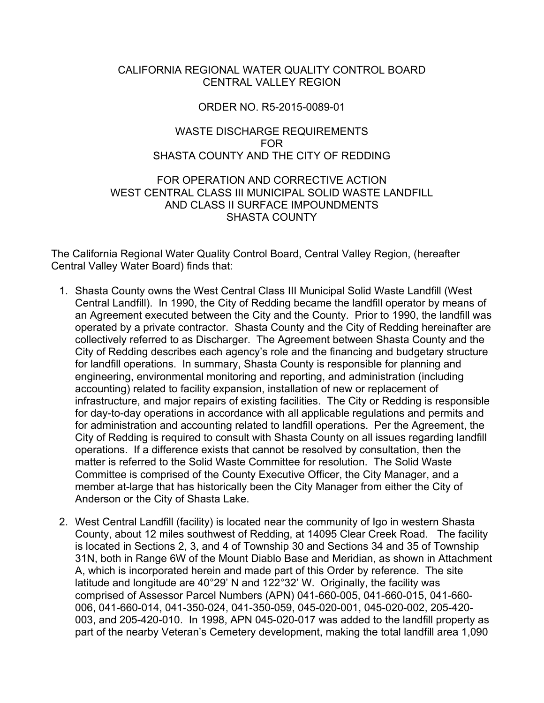#### CALIFORNIA REGIONAL WATER QUALITY CONTROL BOARD CENTRAL VALLEY REGION

#### ORDER NO. R5-2015-0089-01

#### WASTE DISCHARGE REQUIREMENTS FOR SHASTA COUNTY AND THE CITY OF REDDING

#### FOR OPERATION AND CORRECTIVE ACTION WEST CENTRAL CLASS III MUNICIPAL SOLID WASTE LANDFILL AND CLASS II SURFACE IMPOUNDMENTS SHASTA COUNTY

The California Regional Water Quality Control Board, Central Valley Region, (hereafter Central Valley Water Board) finds that:

- 1. Shasta County owns the West Central Class III Municipal Solid Waste Landfill (West Central Landfill). In 1990, the City of Redding became the landfill operator by means of an Agreement executed between the City and the County. Prior to 1990, the landfill was operated by a private contractor. Shasta County and the City of Redding hereinafter are collectively referred to as Discharger. The Agreement between Shasta County and the City of Redding describes each agency's role and the financing and budgetary structure for landfill operations. In summary, Shasta County is responsible for planning and engineering, environmental monitoring and reporting, and administration (including accounting) related to facility expansion, installation of new or replacement of infrastructure, and major repairs of existing facilities. The City or Redding is responsible for day-to-day operations in accordance with all applicable regulations and permits and for administration and accounting related to landfill operations. Per the Agreement, the City of Redding is required to consult with Shasta County on all issues regarding landfill operations. If a difference exists that cannot be resolved by consultation, then the matter is referred to the Solid Waste Committee for resolution. The Solid Waste Committee is comprised of the County Executive Officer, the City Manager, and a member at-large that has historically been the City Manager from either the City of Anderson or the City of Shasta Lake.
- 2. West Central Landfill (facility) is located near the community of Igo in western Shasta County, about 12 miles southwest of Redding, at 14095 Clear Creek Road. The facility is located in Sections 2, 3, and 4 of Township 30 and Sections 34 and 35 of Township 31N, both in Range 6W of the Mount Diablo Base and Meridian, as shown in Attachment A, which is incorporated herein and made part of this Order by reference. The site latitude and longitude are 40°29' N and 122°32' W. Originally, the facility was comprised of Assessor Parcel Numbers (APN) 041-660-005, 041-660-015, 041-660- 006, 041-660-014, 041-350-024, 041-350-059, 045-020-001, 045-020-002, 205-420- 003, and 205-420-010. In 1998, APN 045-020-017 was added to the landfill property as part of the nearby Veteran's Cemetery development, making the total landfill area 1,090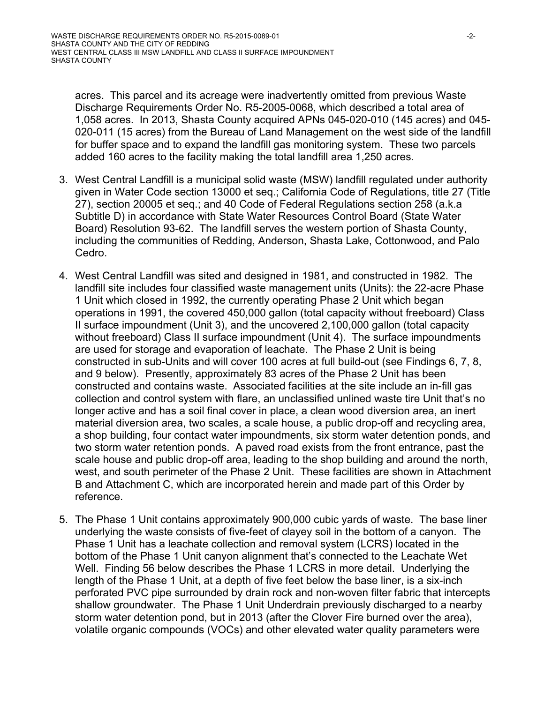acres. This parcel and its acreage were inadvertently omitted from previous Waste Discharge Requirements Order No. R5-2005-0068, which described a total area of 1,058 acres. In 2013, Shasta County acquired APNs 045-020-010 (145 acres) and 045- 020-011 (15 acres) from the Bureau of Land Management on the west side of the landfill for buffer space and to expand the landfill gas monitoring system. These two parcels added 160 acres to the facility making the total landfill area 1,250 acres.

- 3. West Central Landfill is a municipal solid waste (MSW) landfill regulated under authority given in Water Code section 13000 et seq.; California Code of Regulations, title 27 (Title 27), section 20005 et seq.; and 40 Code of Federal Regulations section 258 (a.k.a Subtitle D) in accordance with State Water Resources Control Board (State Water Board) Resolution 93-62. The landfill serves the western portion of Shasta County, including the communities of Redding, Anderson, Shasta Lake, Cottonwood, and Palo Cedro.
- 4. West Central Landfill was sited and designed in 1981, and constructed in 1982. The landfill site includes four classified waste management units (Units): the 22-acre Phase 1 Unit which closed in 1992, the currently operating Phase 2 Unit which began operations in 1991, the covered 450,000 gallon (total capacity without freeboard) Class II surface impoundment (Unit 3), and the uncovered 2,100,000 gallon (total capacity without freeboard) Class II surface impoundment (Unit 4). The surface impoundments are used for storage and evaporation of leachate. The Phase 2 Unit is being constructed in sub-Units and will cover 100 acres at full build-out (see Findings 6, 7, 8, and 9 below). Presently, approximately 83 acres of the Phase 2 Unit has been constructed and contains waste. Associated facilities at the site include an in-fill gas collection and control system with flare, an unclassified unlined waste tire Unit that's no longer active and has a soil final cover in place, a clean wood diversion area, an inert material diversion area, two scales, a scale house, a public drop-off and recycling area, a shop building, four contact water impoundments, six storm water detention ponds, and two storm water retention ponds. A paved road exists from the front entrance, past the scale house and public drop-off area, leading to the shop building and around the north, west, and south perimeter of the Phase 2 Unit. These facilities are shown in Attachment B and Attachment C, which are incorporated herein and made part of this Order by reference.
- 5. The Phase 1 Unit contains approximately 900,000 cubic yards of waste. The base liner underlying the waste consists of five-feet of clayey soil in the bottom of a canyon. The Phase 1 Unit has a leachate collection and removal system (LCRS) located in the bottom of the Phase 1 Unit canyon alignment that's connected to the Leachate Wet Well. Finding 56 below describes the Phase 1 LCRS in more detail. Underlying the length of the Phase 1 Unit, at a depth of five feet below the base liner, is a six-inch perforated PVC pipe surrounded by drain rock and non-woven filter fabric that intercepts shallow groundwater. The Phase 1 Unit Underdrain previously discharged to a nearby storm water detention pond, but in 2013 (after the Clover Fire burned over the area), volatile organic compounds (VOCs) and other elevated water quality parameters were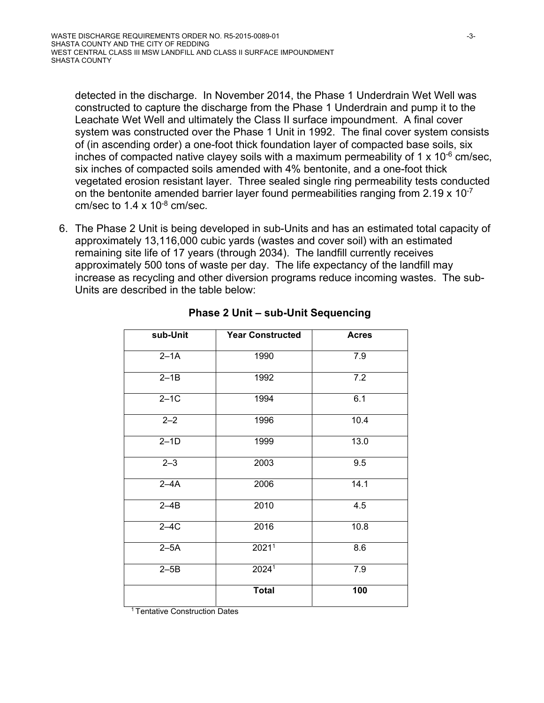detected in the discharge. In November 2014, the Phase 1 Underdrain Wet Well was constructed to capture the discharge from the Phase 1 Underdrain and pump it to the Leachate Wet Well and ultimately the Class II surface impoundment. A final cover system was constructed over the Phase 1 Unit in 1992. The final cover system consists of (in ascending order) a one-foot thick foundation layer of compacted base soils, six inches of compacted native clayey soils with a maximum permeability of 1  $\times$  10<sup>-6</sup> cm/sec, six inches of compacted soils amended with 4% bentonite, and a one-foot thick vegetated erosion resistant layer. Three sealed single ring permeability tests conducted on the bentonite amended barrier layer found permeabilities ranging from 2.19  $\times$  10<sup>-7</sup> cm/sec to  $1.4 \times 10^{-8}$  cm/sec.

6. The Phase 2 Unit is being developed in sub-Units and has an estimated total capacity of approximately 13,116,000 cubic yards (wastes and cover soil) with an estimated remaining site life of 17 years (through 2034). The landfill currently receives approximately 500 tons of waste per day. The life expectancy of the landfill may increase as recycling and other diversion programs reduce incoming wastes. The sub-Units are described in the table below:

| sub-Unit | <b>Year Constructed</b> | <b>Acres</b> |
|----------|-------------------------|--------------|
| $2-1A$   | 1990                    | 7.9          |
| $2-1B$   | 1992                    | 7.2          |
| $2-1C$   | 1994                    | 6.1          |
| $2 - 2$  | 1996                    | 10.4         |
| $2-1D$   | 1999                    | 13.0         |
| $2 - 3$  | 2003                    | 9.5          |
| $2-4A$   | 2006                    | 14.1         |
| $2-4B$   | 2010                    | 4.5          |
| $2-4C$   | 2016                    | 10.8         |
| $2-5A$   | 2021 <sup>1</sup>       | 8.6          |
| $2-5B$   | 2024 <sup>1</sup>       | 7.9          |
|          | <b>Total</b>            | 100          |

#### **Phase 2 Unit – sub-Unit Sequencing**

1 Tentative Construction Dates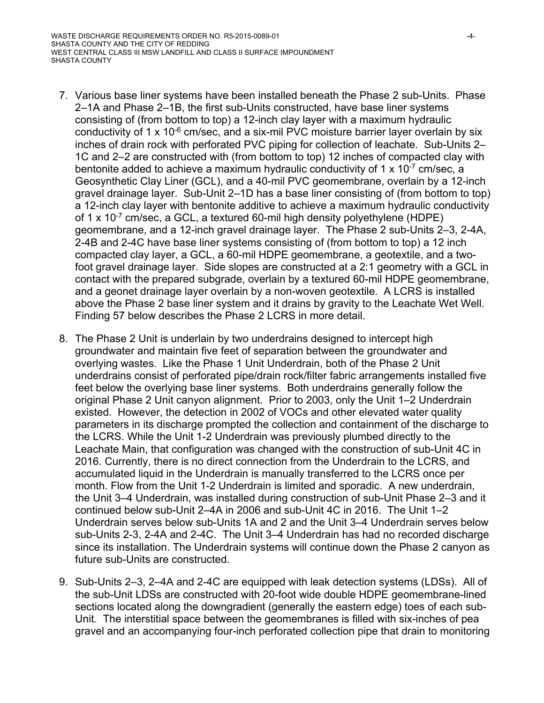- 7. Various base liner systems have been installed beneath the Phase 2 sub-Units. Phase 2–1A and Phase 2–1B, the first sub-Units constructed, have base liner systems consisting of (from bottom to top) a 12-inch clay layer with a maximum hydraulic conductivity of 1 x 10 $\textdegree$  cm/sec, and a six-mil PVC moisture barrier layer overlain by six inches of drain rock with perforated PVC piping for collection of leachate. Sub-Units 2– 1C and 2–2 are constructed with (from bottom to top) 12 inches of compacted clay with bentonite added to achieve a maximum hydraulic conductivity of 1 x  $10^{-7}$  cm/sec, a Geosynthetic Clay Liner (GCL), and a 40-mil PVC geomembrane, overlain by a 12-inch gravel drainage layer. Sub-Unit 2–1D has a base liner consisting of (from bottom to top) a 12-inch clay layer with bentonite additive to achieve a maximum hydraulic conductivity of 1 x  $10^{-7}$  cm/sec, a GCL, a textured 60-mil high density polyethylene (HDPE) geomembrane, and a 12-inch gravel drainage layer. The Phase 2 sub-Units 2–3, 2-4A, 2-4B and 2-4C have base liner systems consisting of (from bottom to top) a 12 inch compacted clay layer, a GCL, a 60-mil HDPE geomembrane, a geotextile, and a twofoot gravel drainage layer. Side slopes are constructed at a 2:1 geometry with a GCL in contact with the prepared subgrade, overlain by a textured 60-mil HDPE geomembrane, and a geonet drainage layer overlain by a non-woven geotextile. A LCRS is installed above the Phase 2 base liner system and it drains by gravity to the Leachate Wet Well. Finding 57 below describes the Phase 2 LCRS in more detail.
- 8. The Phase 2 Unit is underlain by two underdrains designed to intercept high groundwater and maintain five feet of separation between the groundwater and overlying wastes. Like the Phase 1 Unit Underdrain, both of the Phase 2 Unit underdrains consist of perforated pipe/drain rock/filter fabric arrangements installed five feet below the overlying base liner systems. Both underdrains generally follow the original Phase 2 Unit canyon alignment. Prior to 2003, only the Unit 1–2 Underdrain existed. However, the detection in 2002 of VOCs and other elevated water quality parameters in its discharge prompted the collection and containment of the discharge to the LCRS. While the Unit 1-2 Underdrain was previously plumbed directly to the Leachate Main, that configuration was changed with the construction of sub-Unit 4C in 2016. Currently, there is no direct connection from the Underdrain to the LCRS, and accumulated liquid in the Underdrain is manually transferred to the LCRS once per month. Flow from the Unit 1-2 Underdrain is limited and sporadic. A new underdrain, the Unit 3–4 Underdrain, was installed during construction of sub-Unit Phase 2–3 and it continued below sub-Unit 2–4A in 2006 and sub-Unit 4C in 2016. The Unit 1–2 Underdrain serves below sub-Units 1A and 2 and the Unit 3–4 Underdrain serves below sub-Units 2-3, 2-4A and 2-4C. The Unit 3–4 Underdrain has had no recorded discharge since its installation. The Underdrain systems will continue down the Phase 2 canyon as future sub-Units are constructed.
- 9. Sub-Units 2–3, 2–4A and 2-4C are equipped with leak detection systems (LDSs). All of the sub-Unit LDSs are constructed with 20-foot wide double HDPE geomembrane-lined sections located along the downgradient (generally the eastern edge) toes of each sub-Unit. The interstitial space between the geomembranes is filled with six-inches of pea gravel and an accompanying four-inch perforated collection pipe that drain to monitoring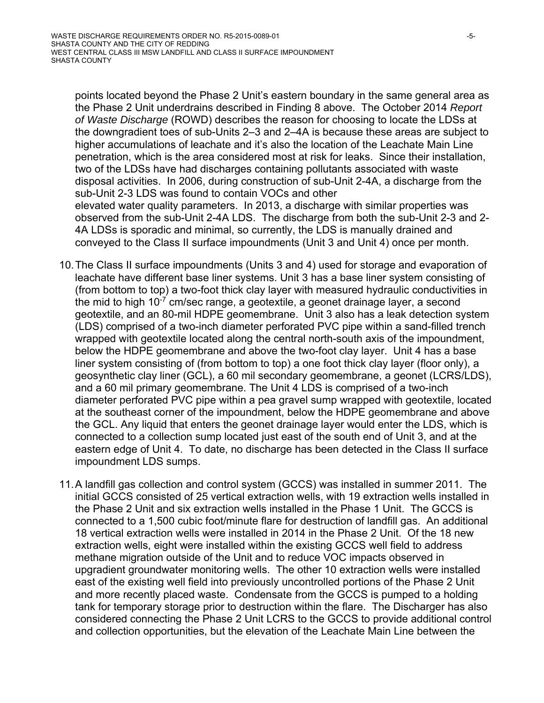points located beyond the Phase 2 Unit's eastern boundary in the same general area as the Phase 2 Unit underdrains described in Finding 8 above. The October 2014 *Report of Waste Discharge* (ROWD) describes the reason for choosing to locate the LDSs at the downgradient toes of sub-Units 2–3 and 2–4A is because these areas are subject to higher accumulations of leachate and it's also the location of the Leachate Main Line penetration, which is the area considered most at risk for leaks. Since their installation, two of the LDSs have had discharges containing pollutants associated with waste disposal activities. In 2006, during construction of sub-Unit 2-4A, a discharge from the sub-Unit 2-3 LDS was found to contain VOCs and other elevated water quality parameters. In 2013, a discharge with similar properties was observed from the sub-Unit 2-4A LDS. The discharge from both the sub-Unit 2-3 and 2- 4A LDSs is sporadic and minimal, so currently, the LDS is manually drained and conveyed to the Class II surface impoundments (Unit 3 and Unit 4) once per month.

- 10. The Class II surface impoundments (Units 3 and 4) used for storage and evaporation of leachate have different base liner systems. Unit 3 has a base liner system consisting of (from bottom to top) a two-foot thick clay layer with measured hydraulic conductivities in the mid to high  $10^{-7}$  cm/sec range, a geotextile, a geonet drainage layer, a second geotextile, and an 80-mil HDPE geomembrane. Unit 3 also has a leak detection system (LDS) comprised of a two-inch diameter perforated PVC pipe within a sand-filled trench wrapped with geotextile located along the central north-south axis of the impoundment, below the HDPE geomembrane and above the two-foot clay layer. Unit 4 has a base liner system consisting of (from bottom to top) a one foot thick clay layer (floor only), a geosynthetic clay liner (GCL), a 60 mil secondary geomembrane, a geonet (LCRS/LDS), and a 60 mil primary geomembrane. The Unit 4 LDS is comprised of a two-inch diameter perforated PVC pipe within a pea gravel sump wrapped with geotextile, located at the southeast corner of the impoundment, below the HDPE geomembrane and above the GCL. Any liquid that enters the geonet drainage layer would enter the LDS, which is connected to a collection sump located just east of the south end of Unit 3, and at the eastern edge of Unit 4. To date, no discharge has been detected in the Class II surface impoundment LDS sumps.
- 11. A landfill gas collection and control system (GCCS) was installed in summer 2011. The initial GCCS consisted of 25 vertical extraction wells, with 19 extraction wells installed in the Phase 2 Unit and six extraction wells installed in the Phase 1 Unit. The GCCS is connected to a 1,500 cubic foot/minute flare for destruction of landfill gas. An additional 18 vertical extraction wells were installed in 2014 in the Phase 2 Unit. Of the 18 new extraction wells, eight were installed within the existing GCCS well field to address methane migration outside of the Unit and to reduce VOC impacts observed in upgradient groundwater monitoring wells. The other 10 extraction wells were installed east of the existing well field into previously uncontrolled portions of the Phase 2 Unit and more recently placed waste. Condensate from the GCCS is pumped to a holding tank for temporary storage prior to destruction within the flare. The Discharger has also considered connecting the Phase 2 Unit LCRS to the GCCS to provide additional control and collection opportunities, but the elevation of the Leachate Main Line between the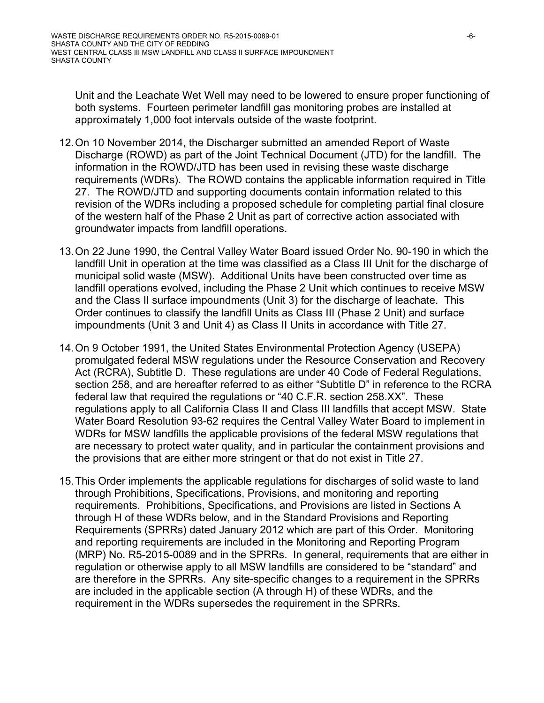Unit and the Leachate Wet Well may need to be lowered to ensure proper functioning of both systems. Fourteen perimeter landfill gas monitoring probes are installed at approximately 1,000 foot intervals outside of the waste footprint.

- 12. On 10 November 2014, the Discharger submitted an amended Report of Waste Discharge (ROWD) as part of the Joint Technical Document (JTD) for the landfill. The information in the ROWD/JTD has been used in revising these waste discharge requirements (WDRs). The ROWD contains the applicable information required in Title 27. The ROWD/JTD and supporting documents contain information related to this revision of the WDRs including a proposed schedule for completing partial final closure of the western half of the Phase 2 Unit as part of corrective action associated with groundwater impacts from landfill operations.
- 13. On 22 June 1990, the Central Valley Water Board issued Order No. 90-190 in which the landfill Unit in operation at the time was classified as a Class III Unit for the discharge of municipal solid waste (MSW). Additional Units have been constructed over time as landfill operations evolved, including the Phase 2 Unit which continues to receive MSW and the Class II surface impoundments (Unit 3) for the discharge of leachate. This Order continues to classify the landfill Units as Class III (Phase 2 Unit) and surface impoundments (Unit 3 and Unit 4) as Class II Units in accordance with Title 27.
- 14. On 9 October 1991, the United States Environmental Protection Agency (USEPA) promulgated federal MSW regulations under the Resource Conservation and Recovery Act (RCRA), Subtitle D. These regulations are under 40 Code of Federal Regulations, section 258, and are hereafter referred to as either "Subtitle D" in reference to the RCRA federal law that required the regulations or "40 C.F.R. section 258.XX". These regulations apply to all California Class II and Class III landfills that accept MSW. State Water Board Resolution 93-62 requires the Central Valley Water Board to implement in WDRs for MSW landfills the applicable provisions of the federal MSW regulations that are necessary to protect water quality, and in particular the containment provisions and the provisions that are either more stringent or that do not exist in Title 27.
- 15. This Order implements the applicable regulations for discharges of solid waste to land through Prohibitions, Specifications, Provisions, and monitoring and reporting requirements. Prohibitions, Specifications, and Provisions are listed in Sections A through H of these WDRs below, and in the Standard Provisions and Reporting Requirements (SPRRs) dated January 2012 which are part of this Order. Monitoring and reporting requirements are included in the Monitoring and Reporting Program (MRP) No. R5-2015-0089 and in the SPRRs. In general, requirements that are either in regulation or otherwise apply to all MSW landfills are considered to be "standard" and are therefore in the SPRRs. Any site-specific changes to a requirement in the SPRRs are included in the applicable section (A through H) of these WDRs, and the requirement in the WDRs supersedes the requirement in the SPRRs.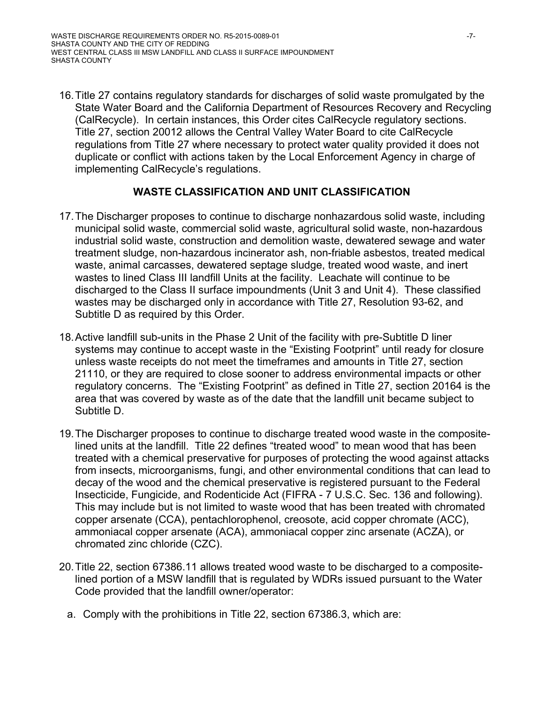16. Title 27 contains regulatory standards for discharges of solid waste promulgated by the State Water Board and the California Department of Resources Recovery and Recycling (CalRecycle). In certain instances, this Order cites CalRecycle regulatory sections. Title 27, section 20012 allows the Central Valley Water Board to cite CalRecycle regulations from Title 27 where necessary to protect water quality provided it does not duplicate or conflict with actions taken by the Local Enforcement Agency in charge of implementing CalRecycle's regulations.

# **WASTE CLASSIFICATION AND UNIT CLASSIFICATION**

- 17. The Discharger proposes to continue to discharge nonhazardous solid waste, including municipal solid waste, commercial solid waste, agricultural solid waste, non-hazardous industrial solid waste, construction and demolition waste, dewatered sewage and water treatment sludge, non-hazardous incinerator ash, non-friable asbestos, treated medical waste, animal carcasses, dewatered septage sludge, treated wood waste, and inert wastes to lined Class III landfill Units at the facility. Leachate will continue to be discharged to the Class II surface impoundments (Unit 3 and Unit 4). These classified wastes may be discharged only in accordance with Title 27, Resolution 93-62, and Subtitle D as required by this Order.
- 18. Active landfill sub-units in the Phase 2 Unit of the facility with pre-Subtitle D liner systems may continue to accept waste in the "Existing Footprint" until ready for closure unless waste receipts do not meet the timeframes and amounts in Title 27, section 21110, or they are required to close sooner to address environmental impacts or other regulatory concerns. The "Existing Footprint" as defined in Title 27, section 20164 is the area that was covered by waste as of the date that the landfill unit became subject to Subtitle D.
- 19. The Discharger proposes to continue to discharge treated wood waste in the compositelined units at the landfill. Title 22 defines "treated wood" to mean wood that has been treated with a chemical preservative for purposes of protecting the wood against attacks from insects, microorganisms, fungi, and other environmental conditions that can lead to decay of the wood and the chemical preservative is registered pursuant to the Federal Insecticide, Fungicide, and Rodenticide Act (FIFRA - 7 U.S.C. Sec. 136 and following). This may include but is not limited to waste wood that has been treated with chromated copper arsenate (CCA), pentachlorophenol, creosote, acid copper chromate (ACC), ammoniacal copper arsenate (ACA), ammoniacal copper zinc arsenate (ACZA), or chromated zinc chloride (CZC).
- 20. Title 22, section 67386.11 allows treated wood waste to be discharged to a compositelined portion of a MSW landfill that is regulated by WDRs issued pursuant to the Water Code provided that the landfill owner/operator:
	- a. Comply with the prohibitions in Title 22, section 67386.3, which are: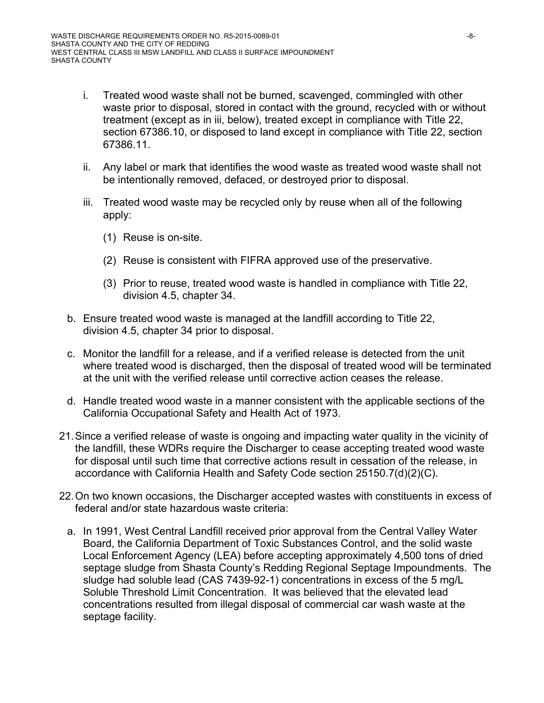- i. Treated wood waste shall not be burned, scavenged, commingled with other waste prior to disposal, stored in contact with the ground, recycled with or without treatment (except as in iii, below), treated except in compliance with Title 22, section 67386.10, or disposed to land except in compliance with Title 22, section 67386.11.
- ii. Any label or mark that identifies the wood waste as treated wood waste shall not be intentionally removed, defaced, or destroyed prior to disposal.
- iii. Treated wood waste may be recycled only by reuse when all of the following apply:
	- (1) Reuse is on-site.
	- (2) Reuse is consistent with FIFRA approved use of the preservative.
	- (3) Prior to reuse, treated wood waste is handled in compliance with Title 22, division 4.5, chapter 34.
- b. Ensure treated wood waste is managed at the landfill according to Title 22, division 4.5, chapter 34 prior to disposal.
- c. Monitor the landfill for a release, and if a verified release is detected from the unit where treated wood is discharged, then the disposal of treated wood will be terminated at the unit with the verified release until corrective action ceases the release.
- d. Handle treated wood waste in a manner consistent with the applicable sections of the California Occupational Safety and Health Act of 1973.
- 21. Since a verified release of waste is ongoing and impacting water quality in the vicinity of the landfill, these WDRs require the Discharger to cease accepting treated wood waste for disposal until such time that corrective actions result in cessation of the release, in accordance with California Health and Safety Code section 25150.7(d)(2)(C).
- 22. On two known occasions, the Discharger accepted wastes with constituents in excess of federal and/or state hazardous waste criteria:
	- a. In 1991, West Central Landfill received prior approval from the Central Valley Water Board, the California Department of Toxic Substances Control, and the solid waste Local Enforcement Agency (LEA) before accepting approximately 4,500 tons of dried septage sludge from Shasta County's Redding Regional Septage Impoundments. The sludge had soluble lead (CAS 7439-92-1) concentrations in excess of the 5 mg/L Soluble Threshold Limit Concentration. It was believed that the elevated lead concentrations resulted from illegal disposal of commercial car wash waste at the septage facility.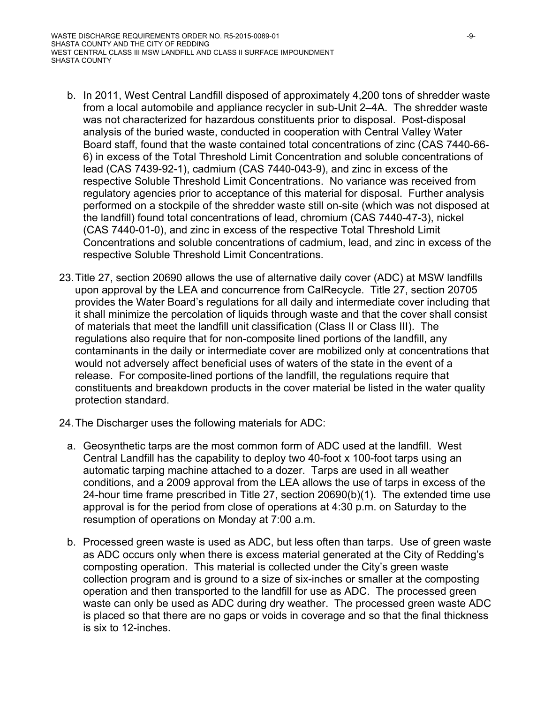- b. In 2011, West Central Landfill disposed of approximately 4,200 tons of shredder waste from a local automobile and appliance recycler in sub-Unit 2–4A. The shredder waste was not characterized for hazardous constituents prior to disposal. Post-disposal analysis of the buried waste, conducted in cooperation with Central Valley Water Board staff, found that the waste contained total concentrations of zinc (CAS 7440-66- 6) in excess of the Total Threshold Limit Concentration and soluble concentrations of lead (CAS 7439-92-1), cadmium (CAS 7440-043-9), and zinc in excess of the respective Soluble Threshold Limit Concentrations. No variance was received from regulatory agencies prior to acceptance of this material for disposal. Further analysis performed on a stockpile of the shredder waste still on-site (which was not disposed at the landfill) found total concentrations of lead, chromium (CAS 7440-47-3), nickel (CAS 7440-01-0), and zinc in excess of the respective Total Threshold Limit Concentrations and soluble concentrations of cadmium, lead, and zinc in excess of the respective Soluble Threshold Limit Concentrations.
- 23. Title 27, section 20690 allows the use of alternative daily cover (ADC) at MSW landfills upon approval by the LEA and concurrence from CalRecycle. Title 27, section 20705 provides the Water Board's regulations for all daily and intermediate cover including that it shall minimize the percolation of liquids through waste and that the cover shall consist of materials that meet the landfill unit classification (Class II or Class III). The regulations also require that for non-composite lined portions of the landfill, any contaminants in the daily or intermediate cover are mobilized only at concentrations that would not adversely affect beneficial uses of waters of the state in the event of a release. For composite-lined portions of the landfill, the regulations require that constituents and breakdown products in the cover material be listed in the water quality protection standard.
- 24. The Discharger uses the following materials for ADC:
	- a. Geosynthetic tarps are the most common form of ADC used at the landfill. West Central Landfill has the capability to deploy two 40-foot x 100-foot tarps using an automatic tarping machine attached to a dozer. Tarps are used in all weather conditions, and a 2009 approval from the LEA allows the use of tarps in excess of the 24-hour time frame prescribed in Title 27, section 20690(b)(1). The extended time use approval is for the period from close of operations at 4:30 p.m. on Saturday to the resumption of operations on Monday at 7:00 a.m.
	- b. Processed green waste is used as ADC, but less often than tarps. Use of green waste as ADC occurs only when there is excess material generated at the City of Redding's composting operation. This material is collected under the City's green waste collection program and is ground to a size of six-inches or smaller at the composting operation and then transported to the landfill for use as ADC. The processed green waste can only be used as ADC during dry weather. The processed green waste ADC is placed so that there are no gaps or voids in coverage and so that the final thickness is six to 12-inches.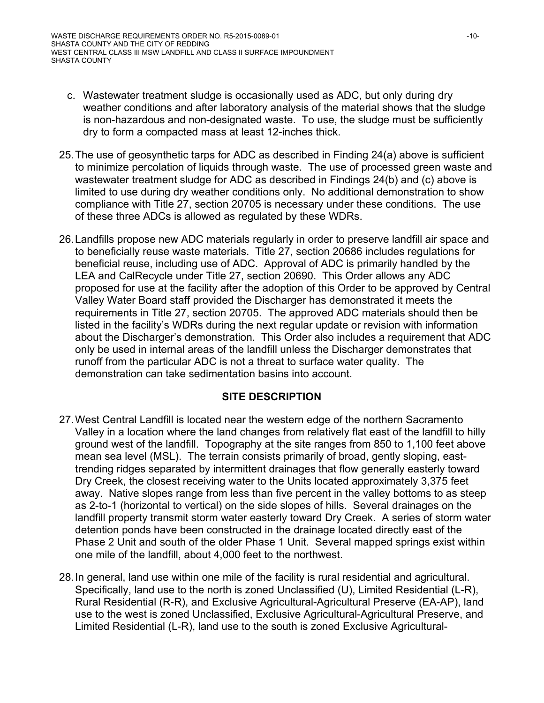- c. Wastewater treatment sludge is occasionally used as ADC, but only during dry weather conditions and after laboratory analysis of the material shows that the sludge is non-hazardous and non-designated waste. To use, the sludge must be sufficiently dry to form a compacted mass at least 12-inches thick.
- 25. The use of geosynthetic tarps for ADC as described in Finding 24(a) above is sufficient to minimize percolation of liquids through waste. The use of processed green waste and wastewater treatment sludge for ADC as described in Findings 24(b) and (c) above is limited to use during dry weather conditions only. No additional demonstration to show compliance with Title 27, section 20705 is necessary under these conditions. The use of these three ADCs is allowed as regulated by these WDRs.
- 26. Landfills propose new ADC materials regularly in order to preserve landfill air space and to beneficially reuse waste materials. Title 27, section 20686 includes regulations for beneficial reuse, including use of ADC. Approval of ADC is primarily handled by the LEA and CalRecycle under Title 27, section 20690. This Order allows any ADC proposed for use at the facility after the adoption of this Order to be approved by Central Valley Water Board staff provided the Discharger has demonstrated it meets the requirements in Title 27, section 20705. The approved ADC materials should then be listed in the facility's WDRs during the next regular update or revision with information about the Discharger's demonstration. This Order also includes a requirement that ADC only be used in internal areas of the landfill unless the Discharger demonstrates that runoff from the particular ADC is not a threat to surface water quality. The demonstration can take sedimentation basins into account.

### **SITE DESCRIPTION**

- 27. West Central Landfill is located near the western edge of the northern Sacramento Valley in a location where the land changes from relatively flat east of the landfill to hilly ground west of the landfill. Topography at the site ranges from 850 to 1,100 feet above mean sea level (MSL). The terrain consists primarily of broad, gently sloping, easttrending ridges separated by intermittent drainages that flow generally easterly toward Dry Creek, the closest receiving water to the Units located approximately 3,375 feet away. Native slopes range from less than five percent in the valley bottoms to as steep as 2-to-1 (horizontal to vertical) on the side slopes of hills. Several drainages on the landfill property transmit storm water easterly toward Dry Creek. A series of storm water detention ponds have been constructed in the drainage located directly east of the Phase 2 Unit and south of the older Phase 1 Unit. Several mapped springs exist within one mile of the landfill, about 4,000 feet to the northwest.
- 28. In general, land use within one mile of the facility is rural residential and agricultural. Specifically, land use to the north is zoned Unclassified (U), Limited Residential (L-R), Rural Residential (R-R), and Exclusive Agricultural-Agricultural Preserve (EA-AP), land use to the west is zoned Unclassified, Exclusive Agricultural-Agricultural Preserve, and Limited Residential (L-R), land use to the south is zoned Exclusive Agricultural-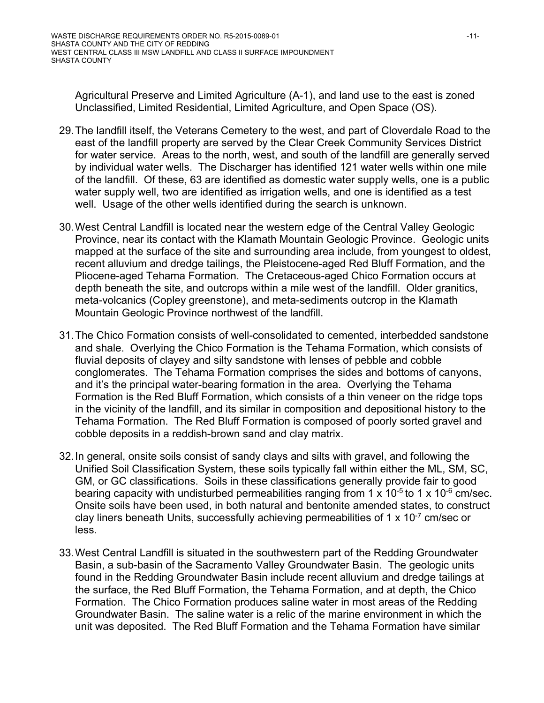Agricultural Preserve and Limited Agriculture (A-1), and land use to the east is zoned Unclassified, Limited Residential, Limited Agriculture, and Open Space (OS).

- 29. The landfill itself, the Veterans Cemetery to the west, and part of Cloverdale Road to the east of the landfill property are served by the Clear Creek Community Services District for water service. Areas to the north, west, and south of the landfill are generally served by individual water wells. The Discharger has identified 121 water wells within one mile of the landfill. Of these, 63 are identified as domestic water supply wells, one is a public water supply well, two are identified as irrigation wells, and one is identified as a test well. Usage of the other wells identified during the search is unknown.
- 30. West Central Landfill is located near the western edge of the Central Valley Geologic Province, near its contact with the Klamath Mountain Geologic Province. Geologic units mapped at the surface of the site and surrounding area include, from youngest to oldest, recent alluvium and dredge tailings, the Pleistocene-aged Red Bluff Formation, and the Pliocene-aged Tehama Formation. The Cretaceous-aged Chico Formation occurs at depth beneath the site, and outcrops within a mile west of the landfill. Older granitics, meta-volcanics (Copley greenstone), and meta-sediments outcrop in the Klamath Mountain Geologic Province northwest of the landfill.
- 31. The Chico Formation consists of well-consolidated to cemented, interbedded sandstone and shale. Overlying the Chico Formation is the Tehama Formation, which consists of fluvial deposits of clayey and silty sandstone with lenses of pebble and cobble conglomerates. The Tehama Formation comprises the sides and bottoms of canyons, and it's the principal water-bearing formation in the area. Overlying the Tehama Formation is the Red Bluff Formation, which consists of a thin veneer on the ridge tops in the vicinity of the landfill, and its similar in composition and depositional history to the Tehama Formation. The Red Bluff Formation is composed of poorly sorted gravel and cobble deposits in a reddish-brown sand and clay matrix.
- 32. In general, onsite soils consist of sandy clays and silts with gravel, and following the Unified Soil Classification System, these soils typically fall within either the ML, SM, SC, GM, or GC classifications. Soils in these classifications generally provide fair to good bearing capacity with undisturbed permeabilities ranging from 1 x 10<sup>-5</sup> to 1 x 10<sup>-6</sup> cm/sec. Onsite soils have been used, in both natural and bentonite amended states, to construct clay liners beneath Units, successfully achieving permeabilities of 1  $\times$  10<sup>-7</sup> cm/sec or less.
- 33. West Central Landfill is situated in the southwestern part of the Redding Groundwater Basin, a sub-basin of the Sacramento Valley Groundwater Basin. The geologic units found in the Redding Groundwater Basin include recent alluvium and dredge tailings at the surface, the Red Bluff Formation, the Tehama Formation, and at depth, the Chico Formation. The Chico Formation produces saline water in most areas of the Redding Groundwater Basin. The saline water is a relic of the marine environment in which the unit was deposited. The Red Bluff Formation and the Tehama Formation have similar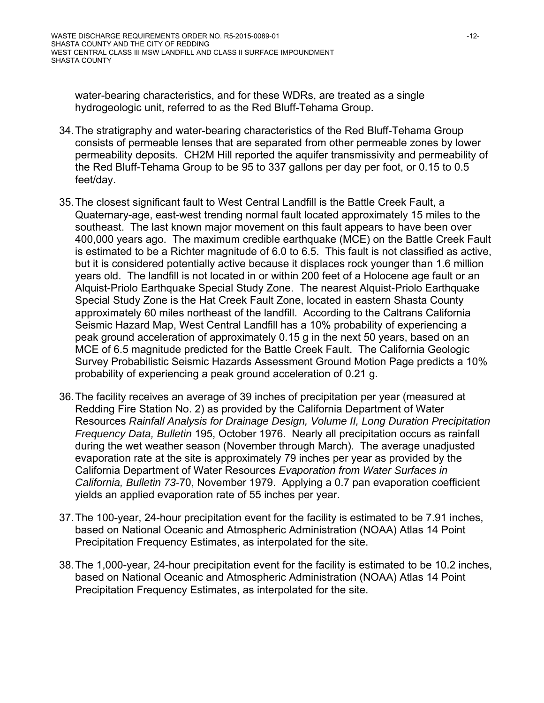water-bearing characteristics, and for these WDRs, are treated as a single hydrogeologic unit, referred to as the Red Bluff-Tehama Group.

- 34. The stratigraphy and water-bearing characteristics of the Red Bluff-Tehama Group consists of permeable lenses that are separated from other permeable zones by lower permeability deposits. CH2M Hill reported the aquifer transmissivity and permeability of the Red Bluff-Tehama Group to be 95 to 337 gallons per day per foot, or 0.15 to 0.5 feet/day.
- 35. The closest significant fault to West Central Landfill is the Battle Creek Fault, a Quaternary-age, east-west trending normal fault located approximately 15 miles to the southeast. The last known major movement on this fault appears to have been over 400,000 years ago. The maximum credible earthquake (MCE) on the Battle Creek Fault is estimated to be a Richter magnitude of 6.0 to 6.5. This fault is not classified as active, but it is considered potentially active because it displaces rock younger than 1.6 million years old. The landfill is not located in or within 200 feet of a Holocene age fault or an Alquist-Priolo Earthquake Special Study Zone. The nearest Alquist-Priolo Earthquake Special Study Zone is the Hat Creek Fault Zone, located in eastern Shasta County approximately 60 miles northeast of the landfill. According to the Caltrans California Seismic Hazard Map, West Central Landfill has a 10% probability of experiencing a peak ground acceleration of approximately 0.15 g in the next 50 years, based on an MCE of 6.5 magnitude predicted for the Battle Creek Fault. The California Geologic Survey Probabilistic Seismic Hazards Assessment Ground Motion Page predicts a 10% probability of experiencing a peak ground acceleration of 0.21 g.
- 36. The facility receives an average of 39 inches of precipitation per year (measured at Redding Fire Station No. 2) as provided by the California Department of Water Resources *Rainfall Analysis for Drainage Design, Volume II, Long Duration Precipitation Frequency Data, Bulletin* 195, October 1976. Nearly all precipitation occurs as rainfall during the wet weather season (November through March). The average unadjusted evaporation rate at the site is approximately 79 inches per year as provided by the California Department of Water Resources *Evaporation from Water Surfaces in California, Bulletin 73-*70, November 1979. Applying a 0.7 pan evaporation coefficient yields an applied evaporation rate of 55 inches per year.
- 37. The 100-year, 24-hour precipitation event for the facility is estimated to be 7.91 inches, based on National Oceanic and Atmospheric Administration (NOAA) Atlas 14 Point Precipitation Frequency Estimates, as interpolated for the site.
- 38. The 1,000-year, 24-hour precipitation event for the facility is estimated to be 10.2 inches, based on National Oceanic and Atmospheric Administration (NOAA) Atlas 14 Point Precipitation Frequency Estimates, as interpolated for the site.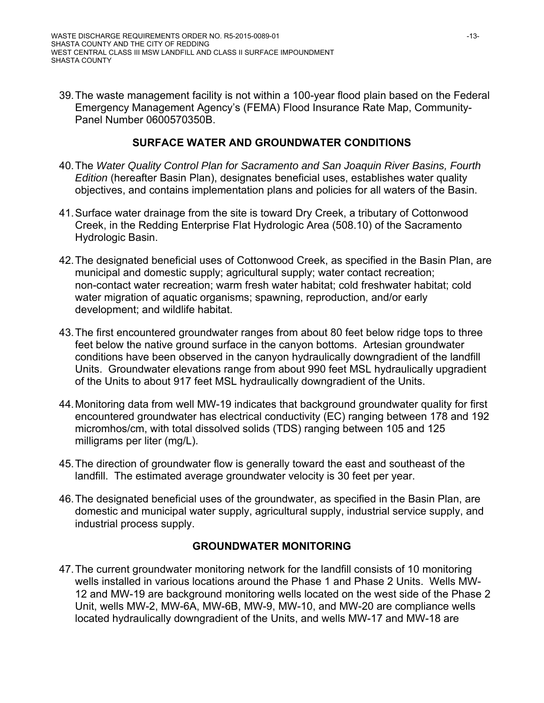39. The waste management facility is not within a 100-year flood plain based on the Federal Emergency Management Agency's (FEMA) Flood Insurance Rate Map, Community-Panel Number 0600570350B.

## **SURFACE WATER AND GROUNDWATER CONDITIONS**

- 40. The *Water Quality Control Plan for Sacramento and San Joaquin River Basins, Fourth Edition* (hereafter Basin Plan), designates beneficial uses, establishes water quality objectives, and contains implementation plans and policies for all waters of the Basin.
- 41. Surface water drainage from the site is toward Dry Creek, a tributary of Cottonwood Creek, in the Redding Enterprise Flat Hydrologic Area (508.10) of the Sacramento Hydrologic Basin.
- 42. The designated beneficial uses of Cottonwood Creek, as specified in the Basin Plan, are municipal and domestic supply; agricultural supply; water contact recreation; non-contact water recreation; warm fresh water habitat; cold freshwater habitat; cold water migration of aquatic organisms; spawning, reproduction, and/or early development; and wildlife habitat.
- 43. The first encountered groundwater ranges from about 80 feet below ridge tops to three feet below the native ground surface in the canyon bottoms. Artesian groundwater conditions have been observed in the canyon hydraulically downgradient of the landfill Units. Groundwater elevations range from about 990 feet MSL hydraulically upgradient of the Units to about 917 feet MSL hydraulically downgradient of the Units.
- 44. Monitoring data from well MW-19 indicates that background groundwater quality for first encountered groundwater has electrical conductivity (EC) ranging between 178 and 192 micromhos/cm, with total dissolved solids (TDS) ranging between 105 and 125 milligrams per liter (mg/L).
- 45. The direction of groundwater flow is generally toward the east and southeast of the landfill. The estimated average groundwater velocity is 30 feet per year.
- 46. The designated beneficial uses of the groundwater, as specified in the Basin Plan, are domestic and municipal water supply, agricultural supply, industrial service supply, and industrial process supply.

### **GROUNDWATER MONITORING**

47. The current groundwater monitoring network for the landfill consists of 10 monitoring wells installed in various locations around the Phase 1 and Phase 2 Units. Wells MW-12 and MW-19 are background monitoring wells located on the west side of the Phase 2 Unit, wells MW-2, MW-6A, MW-6B, MW-9, MW-10, and MW-20 are compliance wells located hydraulically downgradient of the Units, and wells MW-17 and MW-18 are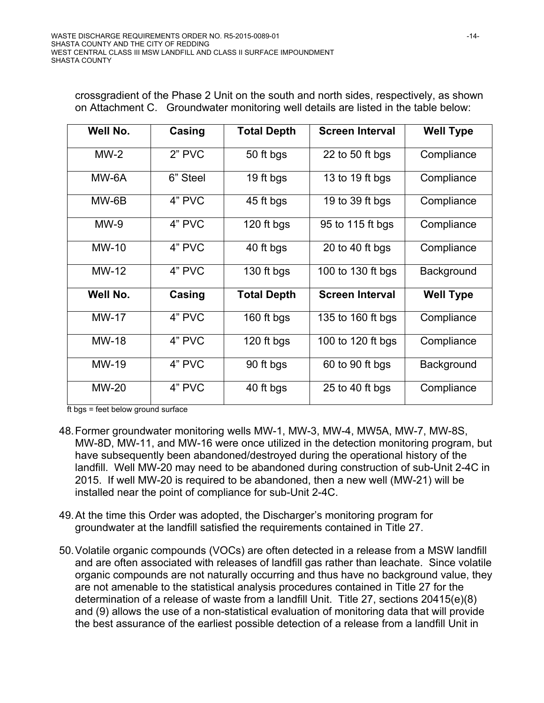crossgradient of the Phase 2 Unit on the south and north sides, respectively, as shown on Attachment C. Groundwater monitoring well details are listed in the table below:

| Well No.     | Casing   | <b>Total Depth</b> | <b>Screen Interval</b> | <b>Well Type</b> |
|--------------|----------|--------------------|------------------------|------------------|
| $MW-2$       | 2" PVC   | 50 ft bgs          | 22 to 50 ft bgs        | Compliance       |
| MW-6A        | 6" Steel | 19 ft bgs          | 13 to 19 ft bgs        | Compliance       |
| MW-6B        | 4" PVC   | 45 ft bgs          | 19 to 39 ft bgs        | Compliance       |
| $MW-9$       | 4" PVC   | 120 ft bgs         | 95 to 115 ft bgs       | Compliance       |
| $MW-10$      | 4" PVC   | 40 ft bgs          | 20 to 40 ft bgs        | Compliance       |
| $MW-12$      | 4" PVC   | 130 ft bgs         | 100 to 130 ft bgs      | Background       |
| Well No.     | Casing   | <b>Total Depth</b> | <b>Screen Interval</b> | <b>Well Type</b> |
| <b>MW-17</b> | 4" PVC   | 160 ft bgs         | 135 to 160 ft bgs      | Compliance       |
| <b>MW-18</b> | 4" PVC   | 120 ft bgs         | 100 to 120 ft bgs      | Compliance       |
| <b>MW-19</b> | 4" PVC   | 90 ft bgs          | 60 to 90 ft bgs        | Background       |
| <b>MW-20</b> | 4" PVC   | 40 ft bgs          | 25 to 40 ft bgs        | Compliance       |

ft bgs = feet below ground surface

- 48. Former groundwater monitoring wells MW-1, MW-3, MW-4, MW5A, MW-7, MW-8S, MW-8D, MW-11, and MW-16 were once utilized in the detection monitoring program, but have subsequently been abandoned/destroyed during the operational history of the landfill. Well MW-20 may need to be abandoned during construction of sub-Unit 2-4C in 2015. If well MW-20 is required to be abandoned, then a new well (MW-21) will be installed near the point of compliance for sub-Unit 2-4C.
- 49. At the time this Order was adopted, the Discharger's monitoring program for groundwater at the landfill satisfied the requirements contained in Title 27.
- 50. Volatile organic compounds (VOCs) are often detected in a release from a MSW landfill and are often associated with releases of landfill gas rather than leachate. Since volatile organic compounds are not naturally occurring and thus have no background value, they are not amenable to the statistical analysis procedures contained in Title 27 for the determination of a release of waste from a landfill Unit. Title 27, sections 20415(e)(8) and (9) allows the use of a non-statistical evaluation of monitoring data that will provide the best assurance of the earliest possible detection of a release from a landfill Unit in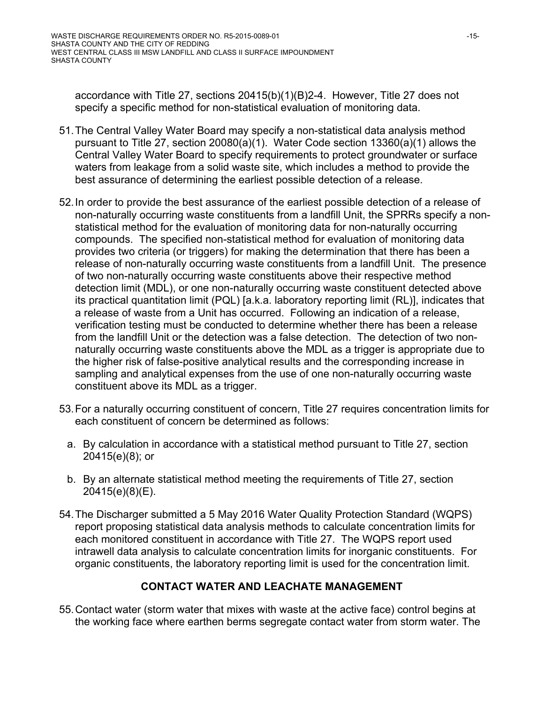accordance with Title 27, sections 20415(b)(1)(B)2-4. However, Title 27 does not specify a specific method for non-statistical evaluation of monitoring data.

- 51. The Central Valley Water Board may specify a non-statistical data analysis method pursuant to Title 27, section 20080(a)(1). Water Code section 13360(a)(1) allows the Central Valley Water Board to specify requirements to protect groundwater or surface waters from leakage from a solid waste site, which includes a method to provide the best assurance of determining the earliest possible detection of a release.
- 52. In order to provide the best assurance of the earliest possible detection of a release of non-naturally occurring waste constituents from a landfill Unit, the SPRRs specify a nonstatistical method for the evaluation of monitoring data for non-naturally occurring compounds. The specified non-statistical method for evaluation of monitoring data provides two criteria (or triggers) for making the determination that there has been a release of non-naturally occurring waste constituents from a landfill Unit. The presence of two non-naturally occurring waste constituents above their respective method detection limit (MDL), or one non-naturally occurring waste constituent detected above its practical quantitation limit (PQL) [a.k.a. laboratory reporting limit (RL)], indicates that a release of waste from a Unit has occurred. Following an indication of a release, verification testing must be conducted to determine whether there has been a release from the landfill Unit or the detection was a false detection. The detection of two nonnaturally occurring waste constituents above the MDL as a trigger is appropriate due to the higher risk of false-positive analytical results and the corresponding increase in sampling and analytical expenses from the use of one non-naturally occurring waste constituent above its MDL as a trigger.
- 53. For a naturally occurring constituent of concern, Title 27 requires concentration limits for each constituent of concern be determined as follows:
	- a. By calculation in accordance with a statistical method pursuant to Title 27, section 20415(e)(8); or
	- b. By an alternate statistical method meeting the requirements of Title 27, section 20415(e)(8)(E).
- 54. The Discharger submitted a 5 May 2016 Water Quality Protection Standard (WQPS) report proposing statistical data analysis methods to calculate concentration limits for each monitored constituent in accordance with Title 27. The WQPS report used intrawell data analysis to calculate concentration limits for inorganic constituents. For organic constituents, the laboratory reporting limit is used for the concentration limit.

# **CONTACT WATER AND LEACHATE MANAGEMENT**

55. Contact water (storm water that mixes with waste at the active face) control begins at the working face where earthen berms segregate contact water from storm water. The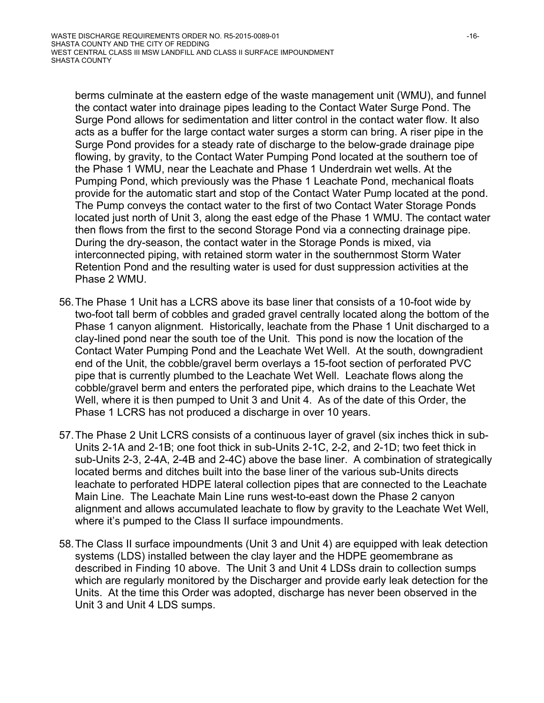berms culminate at the eastern edge of the waste management unit (WMU), and funnel the contact water into drainage pipes leading to the Contact Water Surge Pond. The Surge Pond allows for sedimentation and litter control in the contact water flow. It also acts as a buffer for the large contact water surges a storm can bring. A riser pipe in the Surge Pond provides for a steady rate of discharge to the below-grade drainage pipe flowing, by gravity, to the Contact Water Pumping Pond located at the southern toe of the Phase 1 WMU, near the Leachate and Phase 1 Underdrain wet wells. At the Pumping Pond, which previously was the Phase 1 Leachate Pond, mechanical floats provide for the automatic start and stop of the Contact Water Pump located at the pond. The Pump conveys the contact water to the first of two Contact Water Storage Ponds located just north of Unit 3, along the east edge of the Phase 1 WMU. The contact water then flows from the first to the second Storage Pond via a connecting drainage pipe. During the dry-season, the contact water in the Storage Ponds is mixed, via interconnected piping, with retained storm water in the southernmost Storm Water Retention Pond and the resulting water is used for dust suppression activities at the Phase 2 WMU.

- 56. The Phase 1 Unit has a LCRS above its base liner that consists of a 10-foot wide by two-foot tall berm of cobbles and graded gravel centrally located along the bottom of the Phase 1 canyon alignment. Historically, leachate from the Phase 1 Unit discharged to a clay-lined pond near the south toe of the Unit. This pond is now the location of the Contact Water Pumping Pond and the Leachate Wet Well. At the south, downgradient end of the Unit, the cobble/gravel berm overlays a 15-foot section of perforated PVC pipe that is currently plumbed to the Leachate Wet Well. Leachate flows along the cobble/gravel berm and enters the perforated pipe, which drains to the Leachate Wet Well, where it is then pumped to Unit 3 and Unit 4. As of the date of this Order, the Phase 1 LCRS has not produced a discharge in over 10 years.
- 57. The Phase 2 Unit LCRS consists of a continuous layer of gravel (six inches thick in sub-Units 2-1A and 2-1B; one foot thick in sub-Units 2-1C, 2-2, and 2-1D; two feet thick in sub-Units 2-3, 2-4A, 2-4B and 2-4C) above the base liner. A combination of strategically located berms and ditches built into the base liner of the various sub-Units directs leachate to perforated HDPE lateral collection pipes that are connected to the Leachate Main Line. The Leachate Main Line runs west-to-east down the Phase 2 canyon alignment and allows accumulated leachate to flow by gravity to the Leachate Wet Well, where it's pumped to the Class II surface impoundments.
- 58. The Class II surface impoundments (Unit 3 and Unit 4) are equipped with leak detection systems (LDS) installed between the clay layer and the HDPE geomembrane as described in Finding 10 above. The Unit 3 and Unit 4 LDSs drain to collection sumps which are regularly monitored by the Discharger and provide early leak detection for the Units. At the time this Order was adopted, discharge has never been observed in the Unit 3 and Unit 4 LDS sumps.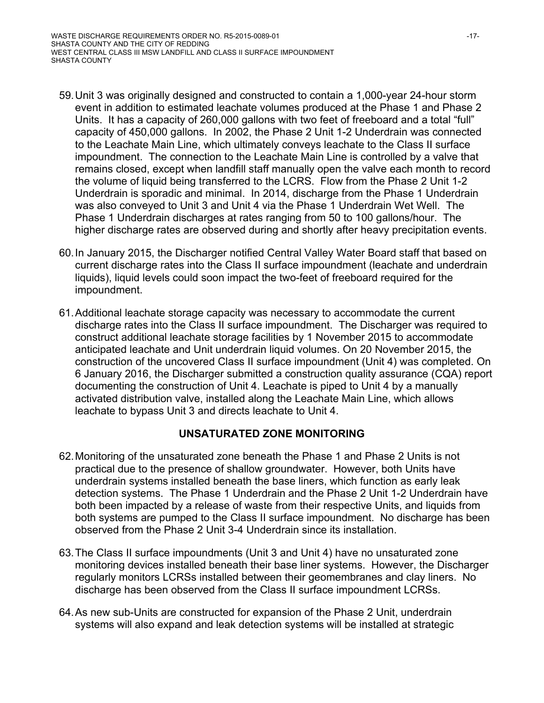- 59. Unit 3 was originally designed and constructed to contain a 1,000-year 24-hour storm event in addition to estimated leachate volumes produced at the Phase 1 and Phase 2 Units. It has a capacity of 260,000 gallons with two feet of freeboard and a total "full" capacity of 450,000 gallons. In 2002, the Phase 2 Unit 1-2 Underdrain was connected to the Leachate Main Line, which ultimately conveys leachate to the Class II surface impoundment. The connection to the Leachate Main Line is controlled by a valve that remains closed, except when landfill staff manually open the valve each month to record the volume of liquid being transferred to the LCRS. Flow from the Phase 2 Unit 1-2 Underdrain is sporadic and minimal. In 2014, discharge from the Phase 1 Underdrain was also conveyed to Unit 3 and Unit 4 via the Phase 1 Underdrain Wet Well. The Phase 1 Underdrain discharges at rates ranging from 50 to 100 gallons/hour. The higher discharge rates are observed during and shortly after heavy precipitation events.
- 60. In January 2015, the Discharger notified Central Valley Water Board staff that based on current discharge rates into the Class II surface impoundment (leachate and underdrain liquids), liquid levels could soon impact the two-feet of freeboard required for the impoundment.
- 61. Additional leachate storage capacity was necessary to accommodate the current discharge rates into the Class II surface impoundment. The Discharger was required to construct additional leachate storage facilities by 1 November 2015 to accommodate anticipated leachate and Unit underdrain liquid volumes. On 20 November 2015, the construction of the uncovered Class II surface impoundment (Unit 4) was completed. On 6 January 2016, the Discharger submitted a construction quality assurance (CQA) report documenting the construction of Unit 4. Leachate is piped to Unit 4 by a manually activated distribution valve, installed along the Leachate Main Line, which allows leachate to bypass Unit 3 and directs leachate to Unit 4.

### **UNSATURATED ZONE MONITORING**

- 62. Monitoring of the unsaturated zone beneath the Phase 1 and Phase 2 Units is not practical due to the presence of shallow groundwater. However, both Units have underdrain systems installed beneath the base liners, which function as early leak detection systems. The Phase 1 Underdrain and the Phase 2 Unit 1-2 Underdrain have both been impacted by a release of waste from their respective Units, and liquids from both systems are pumped to the Class II surface impoundment. No discharge has been observed from the Phase 2 Unit 3-4 Underdrain since its installation.
- 63. The Class II surface impoundments (Unit 3 and Unit 4) have no unsaturated zone monitoring devices installed beneath their base liner systems. However, the Discharger regularly monitors LCRSs installed between their geomembranes and clay liners. No discharge has been observed from the Class II surface impoundment LCRSs.
- 64. As new sub-Units are constructed for expansion of the Phase 2 Unit, underdrain systems will also expand and leak detection systems will be installed at strategic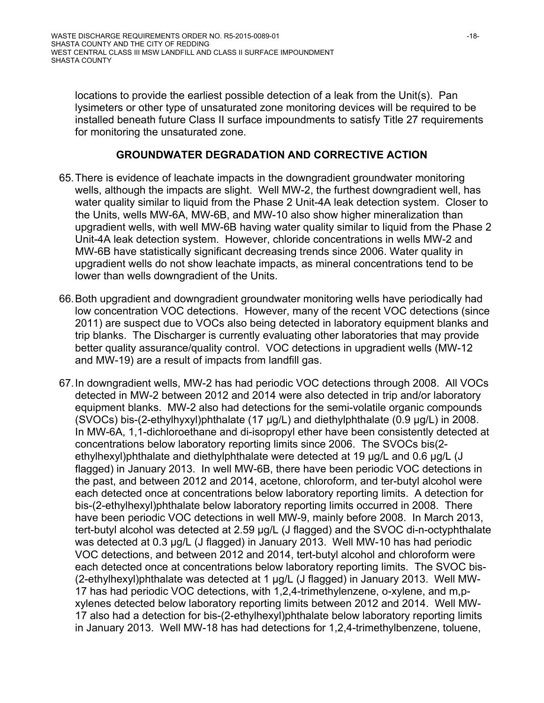locations to provide the earliest possible detection of a leak from the Unit(s). Pan lysimeters or other type of unsaturated zone monitoring devices will be required to be installed beneath future Class II surface impoundments to satisfy Title 27 requirements for monitoring the unsaturated zone.

#### **GROUNDWATER DEGRADATION AND CORRECTIVE ACTION**

- 65. There is evidence of leachate impacts in the downgradient groundwater monitoring wells, although the impacts are slight. Well MW-2, the furthest downgradient well, has water quality similar to liquid from the Phase 2 Unit-4A leak detection system. Closer to the Units, wells MW-6A, MW-6B, and MW-10 also show higher mineralization than upgradient wells, with well MW-6B having water quality similar to liquid from the Phase 2 Unit-4A leak detection system. However, chloride concentrations in wells MW-2 and MW-6B have statistically significant decreasing trends since 2006. Water quality in upgradient wells do not show leachate impacts, as mineral concentrations tend to be lower than wells downgradient of the Units.
- 66. Both upgradient and downgradient groundwater monitoring wells have periodically had low concentration VOC detections. However, many of the recent VOC detections (since 2011) are suspect due to VOCs also being detected in laboratory equipment blanks and trip blanks. The Discharger is currently evaluating other laboratories that may provide better quality assurance/quality control. VOC detections in upgradient wells (MW-12 and MW-19) are a result of impacts from landfill gas.
- 67. In downgradient wells, MW-2 has had periodic VOC detections through 2008. All VOCs detected in MW-2 between 2012 and 2014 were also detected in trip and/or laboratory equipment blanks. MW-2 also had detections for the semi-volatile organic compounds (SVOCs) bis-(2-ethylhyxyl)phthalate (17 µg/L) and diethylphthalate (0.9 µg/L) in 2008. In MW-6A, 1,1-dichloroethane and di-isopropyl ether have been consistently detected at concentrations below laboratory reporting limits since 2006. The SVOCs bis(2 ethylhexyl)phthalate and diethylphthalate were detected at 19 µg/L and 0.6 µg/L (J flagged) in January 2013. In well MW-6B, there have been periodic VOC detections in the past, and between 2012 and 2014, acetone, chloroform, and ter-butyl alcohol were each detected once at concentrations below laboratory reporting limits. A detection for bis-(2-ethylhexyl)phthalate below laboratory reporting limits occurred in 2008. There have been periodic VOC detections in well MW-9, mainly before 2008. In March 2013, tert-butyl alcohol was detected at 2.59 µg/L (J flagged) and the SVOC di-n-octyphthalate was detected at 0.3 µg/L (J flagged) in January 2013. Well MW-10 has had periodic VOC detections, and between 2012 and 2014, tert-butyl alcohol and chloroform were each detected once at concentrations below laboratory reporting limits. The SVOC bis- (2-ethylhexyl)phthalate was detected at 1 µg/L (J flagged) in January 2013. Well MW-17 has had periodic VOC detections, with 1,2,4-trimethylenzene, o-xylene, and m,pxylenes detected below laboratory reporting limits between 2012 and 2014. Well MW-17 also had a detection for bis-(2-ethylhexyl)phthalate below laboratory reporting limits in January 2013. Well MW-18 has had detections for 1,2,4-trimethylbenzene, toluene,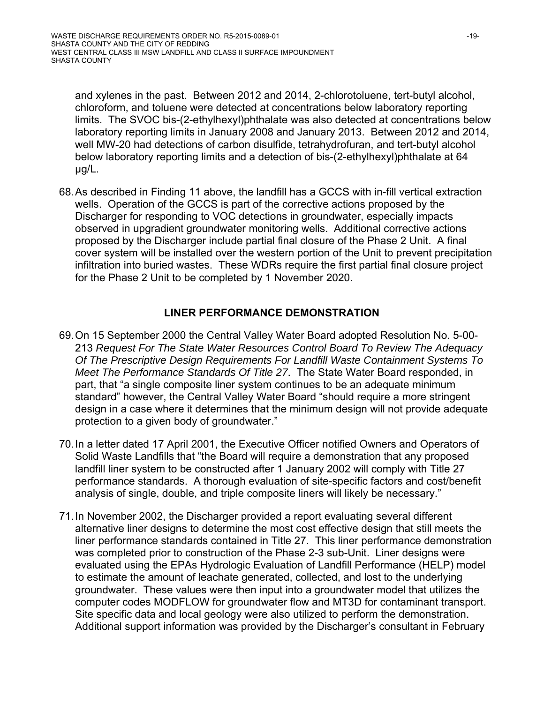and xylenes in the past. Between 2012 and 2014, 2-chlorotoluene, tert-butyl alcohol, chloroform, and toluene were detected at concentrations below laboratory reporting limits. The SVOC bis-(2-ethylhexyl)phthalate was also detected at concentrations below laboratory reporting limits in January 2008 and January 2013. Between 2012 and 2014, well MW-20 had detections of carbon disulfide, tetrahydrofuran, and tert-butyl alcohol below laboratory reporting limits and a detection of bis-(2-ethylhexyl)phthalate at 64 µg/L.

68. As described in Finding 11 above, the landfill has a GCCS with in-fill vertical extraction wells. Operation of the GCCS is part of the corrective actions proposed by the Discharger for responding to VOC detections in groundwater, especially impacts observed in upgradient groundwater monitoring wells. Additional corrective actions proposed by the Discharger include partial final closure of the Phase 2 Unit. A final cover system will be installed over the western portion of the Unit to prevent precipitation infiltration into buried wastes. These WDRs require the first partial final closure project for the Phase 2 Unit to be completed by 1 November 2020.

#### **LINER PERFORMANCE DEMONSTRATION**

- 69. On 15 September 2000 the Central Valley Water Board adopted Resolution No. 5-00- 213 *Request For The State Water Resources Control Board To Review The Adequacy Of The Prescriptive Design Requirements For Landfill Waste Containment Systems To Meet The Performance Standards Of Title 27*. The State Water Board responded, in part, that "a single composite liner system continues to be an adequate minimum standard" however, the Central Valley Water Board "should require a more stringent design in a case where it determines that the minimum design will not provide adequate protection to a given body of groundwater."
- 70. In a letter dated 17 April 2001, the Executive Officer notified Owners and Operators of Solid Waste Landfills that "the Board will require a demonstration that any proposed landfill liner system to be constructed after 1 January 2002 will comply with Title 27 performance standards. A thorough evaluation of site-specific factors and cost/benefit analysis of single, double, and triple composite liners will likely be necessary."
- 71. In November 2002, the Discharger provided a report evaluating several different alternative liner designs to determine the most cost effective design that still meets the liner performance standards contained in Title 27. This liner performance demonstration was completed prior to construction of the Phase 2-3 sub-Unit. Liner designs were evaluated using the EPAs Hydrologic Evaluation of Landfill Performance (HELP) model to estimate the amount of leachate generated, collected, and lost to the underlying groundwater. These values were then input into a groundwater model that utilizes the computer codes MODFLOW for groundwater flow and MT3D for contaminant transport. Site specific data and local geology were also utilized to perform the demonstration. Additional support information was provided by the Discharger's consultant in February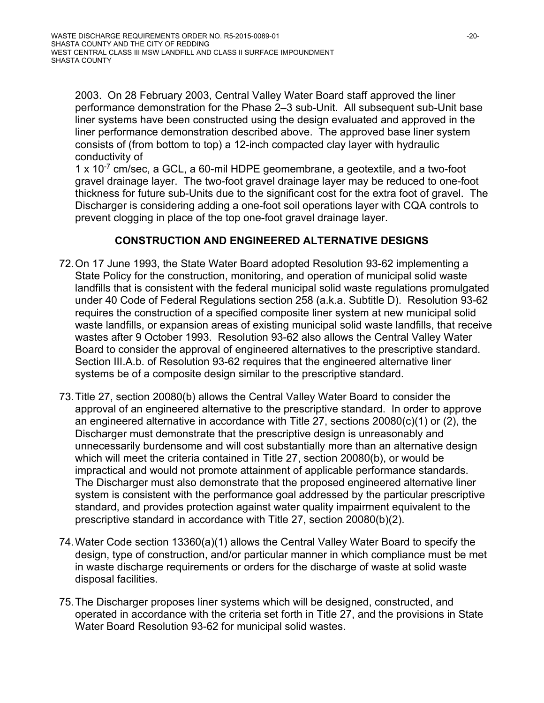2003. On 28 February 2003, Central Valley Water Board staff approved the liner performance demonstration for the Phase 2–3 sub-Unit. All subsequent sub-Unit base liner systems have been constructed using the design evaluated and approved in the liner performance demonstration described above. The approved base liner system consists of (from bottom to top) a 12-inch compacted clay layer with hydraulic conductivity of

1 x 10-7 cm/sec, a GCL, a 60-mil HDPE geomembrane, a geotextile, and a two-foot gravel drainage layer. The two-foot gravel drainage layer may be reduced to one-foot thickness for future sub-Units due to the significant cost for the extra foot of gravel. The Discharger is considering adding a one-foot soil operations layer with CQA controls to prevent clogging in place of the top one-foot gravel drainage layer.

### **CONSTRUCTION AND ENGINEERED ALTERNATIVE DESIGNS**

- 72. On 17 June 1993, the State Water Board adopted Resolution 93-62 implementing a State Policy for the construction, monitoring, and operation of municipal solid waste landfills that is consistent with the federal municipal solid waste regulations promulgated under 40 Code of Federal Regulations section 258 (a.k.a. Subtitle D). Resolution 93-62 requires the construction of a specified composite liner system at new municipal solid waste landfills, or expansion areas of existing municipal solid waste landfills, that receive wastes after 9 October 1993. Resolution 93-62 also allows the Central Valley Water Board to consider the approval of engineered alternatives to the prescriptive standard. Section III.A.b. of Resolution 93-62 requires that the engineered alternative liner systems be of a composite design similar to the prescriptive standard.
- 73. Title 27, section 20080(b) allows the Central Valley Water Board to consider the approval of an engineered alternative to the prescriptive standard. In order to approve an engineered alternative in accordance with Title 27, sections 20080(c)(1) or (2), the Discharger must demonstrate that the prescriptive design is unreasonably and unnecessarily burdensome and will cost substantially more than an alternative design which will meet the criteria contained in Title 27, section 20080(b), or would be impractical and would not promote attainment of applicable performance standards. The Discharger must also demonstrate that the proposed engineered alternative liner system is consistent with the performance goal addressed by the particular prescriptive standard, and provides protection against water quality impairment equivalent to the prescriptive standard in accordance with Title 27, section 20080(b)(2).
- 74. Water Code section 13360(a)(1) allows the Central Valley Water Board to specify the design, type of construction, and/or particular manner in which compliance must be met in waste discharge requirements or orders for the discharge of waste at solid waste disposal facilities.
- 75. The Discharger proposes liner systems which will be designed, constructed, and operated in accordance with the criteria set forth in Title 27, and the provisions in State Water Board Resolution 93-62 for municipal solid wastes.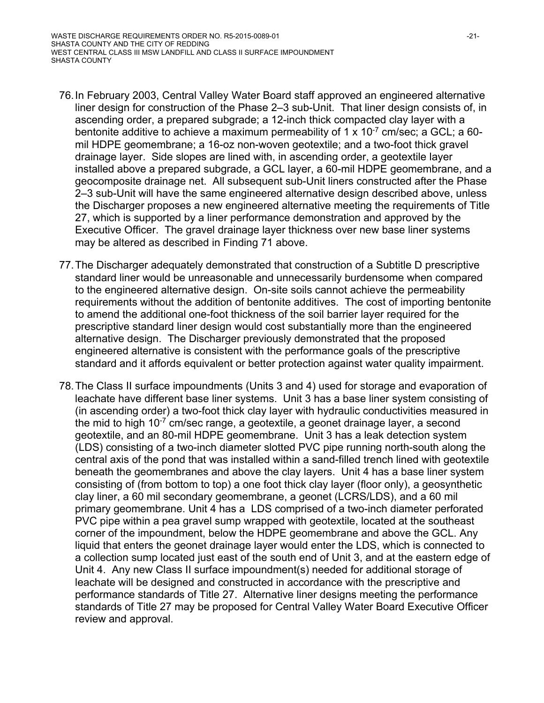- 76. In February 2003, Central Valley Water Board staff approved an engineered alternative liner design for construction of the Phase 2–3 sub-Unit. That liner design consists of, in ascending order, a prepared subgrade; a 12-inch thick compacted clay layer with a bentonite additive to achieve a maximum permeability of 1 x  $10^{-7}$  cm/sec; a GCL; a 60mil HDPE geomembrane; a 16-oz non-woven geotextile; and a two-foot thick gravel drainage layer. Side slopes are lined with, in ascending order, a geotextile layer installed above a prepared subgrade, a GCL layer, a 60-mil HDPE geomembrane, and a geocomposite drainage net. All subsequent sub-Unit liners constructed after the Phase 2–3 sub-Unit will have the same engineered alternative design described above, unless the Discharger proposes a new engineered alternative meeting the requirements of Title 27, which is supported by a liner performance demonstration and approved by the Executive Officer. The gravel drainage layer thickness over new base liner systems may be altered as described in Finding 71 above.
- 77. The Discharger adequately demonstrated that construction of a Subtitle D prescriptive standard liner would be unreasonable and unnecessarily burdensome when compared to the engineered alternative design. On-site soils cannot achieve the permeability requirements without the addition of bentonite additives. The cost of importing bentonite to amend the additional one-foot thickness of the soil barrier layer required for the prescriptive standard liner design would cost substantially more than the engineered alternative design. The Discharger previously demonstrated that the proposed engineered alternative is consistent with the performance goals of the prescriptive standard and it affords equivalent or better protection against water quality impairment.
- 78. The Class II surface impoundments (Units 3 and 4) used for storage and evaporation of leachate have different base liner systems. Unit 3 has a base liner system consisting of (in ascending order) a two-foot thick clay layer with hydraulic conductivities measured in the mid to high  $10^{-7}$  cm/sec range, a geotextile, a geonet drainage layer, a second geotextile, and an 80-mil HDPE geomembrane. Unit 3 has a leak detection system (LDS) consisting of a two-inch diameter slotted PVC pipe running north-south along the central axis of the pond that was installed within a sand-filled trench lined with geotextile beneath the geomembranes and above the clay layers. Unit 4 has a base liner system consisting of (from bottom to top) a one foot thick clay layer (floor only), a geosynthetic clay liner, a 60 mil secondary geomembrane, a geonet (LCRS/LDS), and a 60 mil primary geomembrane. Unit 4 has a LDS comprised of a two-inch diameter perforated PVC pipe within a pea gravel sump wrapped with geotextile, located at the southeast corner of the impoundment, below the HDPE geomembrane and above the GCL. Any liquid that enters the geonet drainage layer would enter the LDS, which is connected to a collection sump located just east of the south end of Unit 3, and at the eastern edge of Unit 4. Any new Class II surface impoundment(s) needed for additional storage of leachate will be designed and constructed in accordance with the prescriptive and performance standards of Title 27. Alternative liner designs meeting the performance standards of Title 27 may be proposed for Central Valley Water Board Executive Officer review and approval.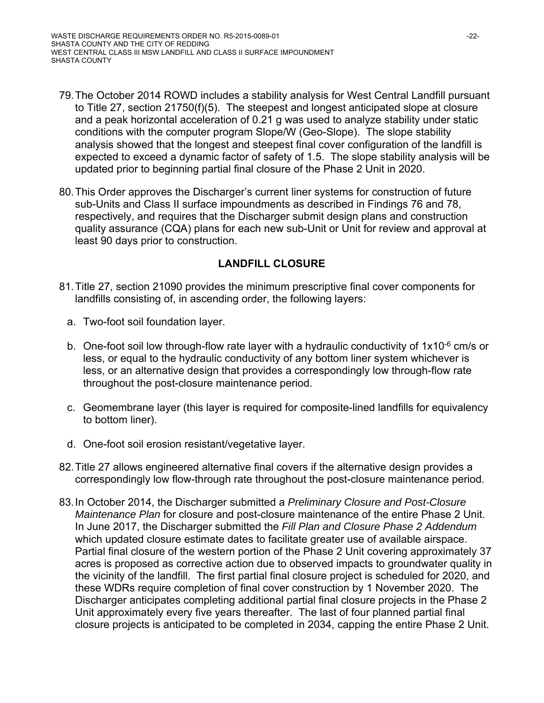- 79. The October 2014 ROWD includes a stability analysis for West Central Landfill pursuant to Title 27, section 21750(f)(5). The steepest and longest anticipated slope at closure and a peak horizontal acceleration of 0.21 g was used to analyze stability under static conditions with the computer program Slope/W (Geo-Slope). The slope stability analysis showed that the longest and steepest final cover configuration of the landfill is expected to exceed a dynamic factor of safety of 1.5. The slope stability analysis will be updated prior to beginning partial final closure of the Phase 2 Unit in 2020.
- 80. This Order approves the Discharger's current liner systems for construction of future sub-Units and Class II surface impoundments as described in Findings 76 and 78, respectively, and requires that the Discharger submit design plans and construction quality assurance (CQA) plans for each new sub-Unit or Unit for review and approval at least 90 days prior to construction.

# **LANDFILL CLOSURE**

- 81. Title 27, section 21090 provides the minimum prescriptive final cover components for landfills consisting of, in ascending order, the following layers:
	- a. Two-foot soil foundation layer.
	- b. One-foot soil low through-flow rate layer with a hydraulic conductivity of 1x10<sup>-6</sup> cm/s or less, or equal to the hydraulic conductivity of any bottom liner system whichever is less, or an alternative design that provides a correspondingly low through-flow rate throughout the post-closure maintenance period.
	- c. Geomembrane layer (this layer is required for composite-lined landfills for equivalency to bottom liner).
	- d. One-foot soil erosion resistant/vegetative layer.
- 82. Title 27 allows engineered alternative final covers if the alternative design provides a correspondingly low flow-through rate throughout the post-closure maintenance period.
- 83. In October 2014, the Discharger submitted a *Preliminary Closure and Post-Closure Maintenance Plan* for closure and post-closure maintenance of the entire Phase 2 Unit. In June 2017, the Discharger submitted the *Fill Plan and Closure Phase 2 Addendum*  which updated closure estimate dates to facilitate greater use of available airspace. Partial final closure of the western portion of the Phase 2 Unit covering approximately 37 acres is proposed as corrective action due to observed impacts to groundwater quality in the vicinity of the landfill. The first partial final closure project is scheduled for 2020, and these WDRs require completion of final cover construction by 1 November 2020. The Discharger anticipates completing additional partial final closure projects in the Phase 2 Unit approximately every five years thereafter. The last of four planned partial final closure projects is anticipated to be completed in 2034, capping the entire Phase 2 Unit.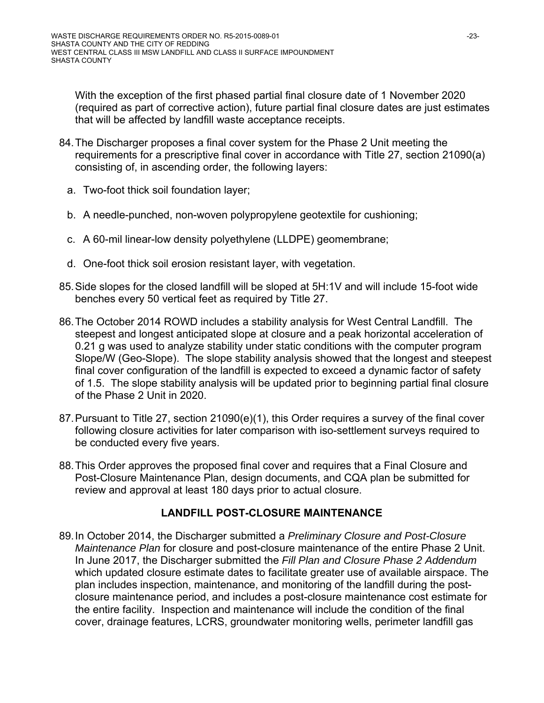With the exception of the first phased partial final closure date of 1 November 2020 (required as part of corrective action), future partial final closure dates are just estimates that will be affected by landfill waste acceptance receipts.

- 84. The Discharger proposes a final cover system for the Phase 2 Unit meeting the requirements for a prescriptive final cover in accordance with Title 27, section 21090(a) consisting of, in ascending order, the following layers:
	- a. Two-foot thick soil foundation layer;
	- b. A needle-punched, non-woven polypropylene geotextile for cushioning;
	- c. A 60-mil linear-low density polyethylene (LLDPE) geomembrane;
	- d. One-foot thick soil erosion resistant layer, with vegetation.
- 85. Side slopes for the closed landfill will be sloped at 5H:1V and will include 15-foot wide benches every 50 vertical feet as required by Title 27.
- 86. The October 2014 ROWD includes a stability analysis for West Central Landfill. The steepest and longest anticipated slope at closure and a peak horizontal acceleration of 0.21 g was used to analyze stability under static conditions with the computer program Slope/W (Geo-Slope). The slope stability analysis showed that the longest and steepest final cover configuration of the landfill is expected to exceed a dynamic factor of safety of 1.5. The slope stability analysis will be updated prior to beginning partial final closure of the Phase 2 Unit in 2020.
- 87. Pursuant to Title 27, section 21090(e)(1), this Order requires a survey of the final cover following closure activities for later comparison with iso-settlement surveys required to be conducted every five years.
- 88. This Order approves the proposed final cover and requires that a Final Closure and Post-Closure Maintenance Plan, design documents, and CQA plan be submitted for review and approval at least 180 days prior to actual closure.

### **LANDFILL POST-CLOSURE MAINTENANCE**

89. In October 2014, the Discharger submitted a *Preliminary Closure and Post-Closure Maintenance Plan* for closure and post-closure maintenance of the entire Phase 2 Unit. In June 2017, the Discharger submitted the *Fill Plan and Closure Phase 2 Addendum*  which updated closure estimate dates to facilitate greater use of available airspace. The plan includes inspection, maintenance, and monitoring of the landfill during the postclosure maintenance period, and includes a post-closure maintenance cost estimate for the entire facility. Inspection and maintenance will include the condition of the final cover, drainage features, LCRS, groundwater monitoring wells, perimeter landfill gas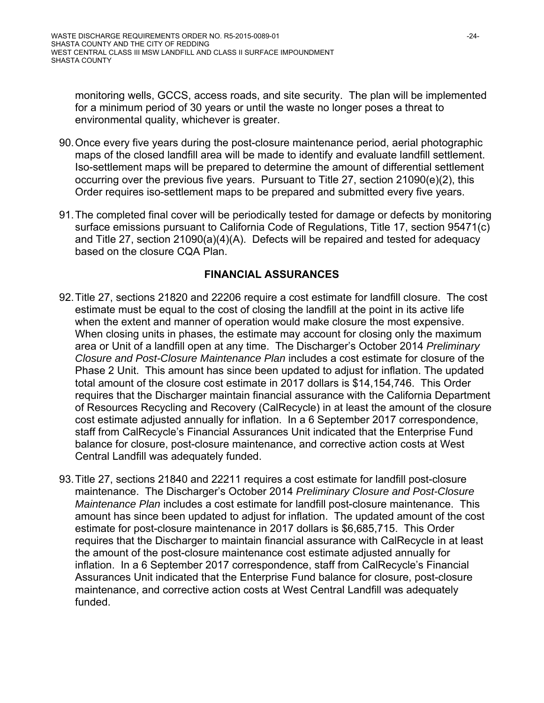monitoring wells, GCCS, access roads, and site security. The plan will be implemented for a minimum period of 30 years or until the waste no longer poses a threat to environmental quality, whichever is greater.

- 90. Once every five years during the post-closure maintenance period, aerial photographic maps of the closed landfill area will be made to identify and evaluate landfill settlement. Iso-settlement maps will be prepared to determine the amount of differential settlement occurring over the previous five years. Pursuant to Title 27, section 21090(e)(2), this Order requires iso-settlement maps to be prepared and submitted every five years.
- 91. The completed final cover will be periodically tested for damage or defects by monitoring surface emissions pursuant to California Code of Regulations, Title 17, section 95471(c) and Title 27, section 21090(a)(4)(A). Defects will be repaired and tested for adequacy based on the closure CQA Plan.

# **FINANCIAL ASSURANCES**

- 92. Title 27, sections 21820 and 22206 require a cost estimate for landfill closure. The cost estimate must be equal to the cost of closing the landfill at the point in its active life when the extent and manner of operation would make closure the most expensive. When closing units in phases, the estimate may account for closing only the maximum area or Unit of a landfill open at any time. The Discharger's October 2014 *Preliminary Closure and Post-Closure Maintenance Plan* includes a cost estimate for closure of the Phase 2 Unit. This amount has since been updated to adjust for inflation. The updated total amount of the closure cost estimate in 2017 dollars is \$14,154,746. This Order requires that the Discharger maintain financial assurance with the California Department of Resources Recycling and Recovery (CalRecycle) in at least the amount of the closure cost estimate adjusted annually for inflation. In a 6 September 2017 correspondence, staff from CalRecycle's Financial Assurances Unit indicated that the Enterprise Fund balance for closure, post-closure maintenance, and corrective action costs at West Central Landfill was adequately funded.
- 93. Title 27, sections 21840 and 22211 requires a cost estimate for landfill post-closure maintenance. The Discharger's October 2014 *Preliminary Closure and Post-Closure Maintenance Plan* includes a cost estimate for landfill post-closure maintenance. This amount has since been updated to adjust for inflation. The updated amount of the cost estimate for post-closure maintenance in 2017 dollars is \$6,685,715. This Order requires that the Discharger to maintain financial assurance with CalRecycle in at least the amount of the post-closure maintenance cost estimate adjusted annually for inflation. In a 6 September 2017 correspondence, staff from CalRecycle's Financial Assurances Unit indicated that the Enterprise Fund balance for closure, post-closure maintenance, and corrective action costs at West Central Landfill was adequately funded.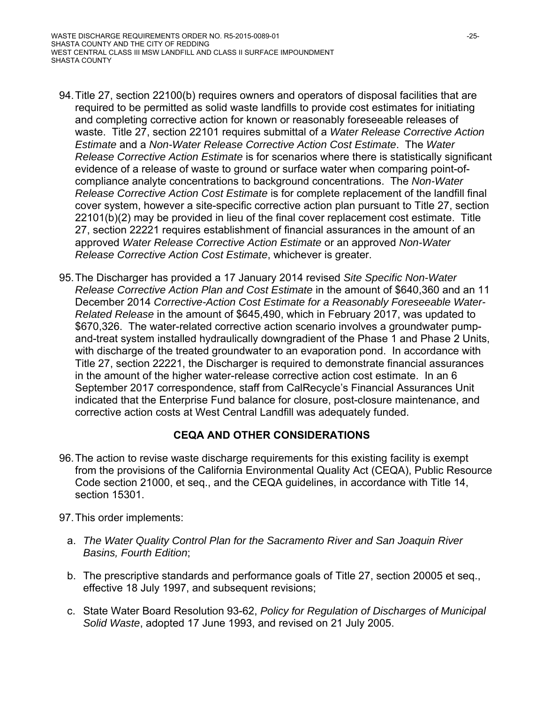- 94. Title 27, section 22100(b) requires owners and operators of disposal facilities that are required to be permitted as solid waste landfills to provide cost estimates for initiating and completing corrective action for known or reasonably foreseeable releases of waste. Title 27, section 22101 requires submittal of a *Water Release Corrective Action Estimate* and a *Non-Water Release Corrective Action Cost Estimate*. The *Water Release Corrective Action Estimate* is for scenarios where there is statistically significant evidence of a release of waste to ground or surface water when comparing point-ofcompliance analyte concentrations to background concentrations. The *Non-Water Release Corrective Action Cost Estimate* is for complete replacement of the landfill final cover system, however a site-specific corrective action plan pursuant to Title 27, section 22101(b)(2) may be provided in lieu of the final cover replacement cost estimate. Title 27, section 22221 requires establishment of financial assurances in the amount of an approved *Water Release Corrective Action Estimate* or an approved *Non-Water Release Corrective Action Cost Estimate*, whichever is greater.
- 95. The Discharger has provided a 17 January 2014 revised *Site Specific Non-Water Release Corrective Action Plan and Cost Estimate* in the amount of \$640,360 and an 11 December 2014 *Corrective-Action Cost Estimate for a Reasonably Foreseeable Water-Related Release* in the amount of \$645,490, which in February 2017, was updated to \$670,326. The water-related corrective action scenario involves a groundwater pumpand-treat system installed hydraulically downgradient of the Phase 1 and Phase 2 Units, with discharge of the treated groundwater to an evaporation pond. In accordance with Title 27, section 22221, the Discharger is required to demonstrate financial assurances in the amount of the higher water-release corrective action cost estimate. In an 6 September 2017 correspondence, staff from CalRecycle's Financial Assurances Unit indicated that the Enterprise Fund balance for closure, post-closure maintenance, and corrective action costs at West Central Landfill was adequately funded.

### **CEQA AND OTHER CONSIDERATIONS**

- 96. The action to revise waste discharge requirements for this existing facility is exempt from the provisions of the California Environmental Quality Act (CEQA), Public Resource Code section 21000, et seq., and the CEQA guidelines, in accordance with Title 14, section 15301.
- 97. This order implements:
	- a. *The Water Quality Control Plan for the Sacramento River and San Joaquin River Basins, Fourth Edition*;
	- b. The prescriptive standards and performance goals of Title 27, section 20005 et seq., effective 18 July 1997, and subsequent revisions;
	- c. State Water Board Resolution 93-62, *Policy for Regulation of Discharges of Municipal Solid Waste*, adopted 17 June 1993, and revised on 21 July 2005.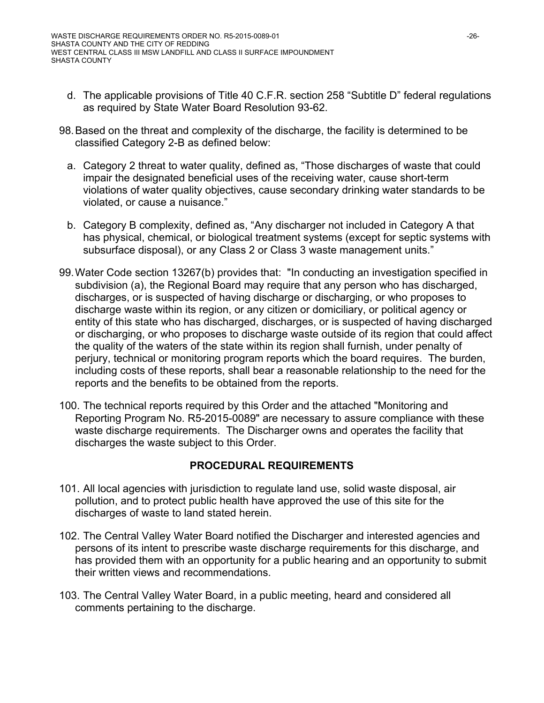- d. The applicable provisions of Title 40 C.F.R. section 258 "Subtitle D" federal regulations as required by State Water Board Resolution 93-62.
- 98. Based on the threat and complexity of the discharge, the facility is determined to be classified Category 2-B as defined below:
	- a. Category 2 threat to water quality, defined as, "Those discharges of waste that could impair the designated beneficial uses of the receiving water, cause short-term violations of water quality objectives, cause secondary drinking water standards to be violated, or cause a nuisance."
	- b. Category B complexity, defined as, "Any discharger not included in Category A that has physical, chemical, or biological treatment systems (except for septic systems with subsurface disposal), or any Class 2 or Class 3 waste management units."
- 99. Water Code section 13267(b) provides that: "In conducting an investigation specified in subdivision (a), the Regional Board may require that any person who has discharged, discharges, or is suspected of having discharge or discharging, or who proposes to discharge waste within its region, or any citizen or domiciliary, or political agency or entity of this state who has discharged, discharges, or is suspected of having discharged or discharging, or who proposes to discharge waste outside of its region that could affect the quality of the waters of the state within its region shall furnish, under penalty of perjury, technical or monitoring program reports which the board requires. The burden, including costs of these reports, shall bear a reasonable relationship to the need for the reports and the benefits to be obtained from the reports.
- 100. The technical reports required by this Order and the attached "Monitoring and Reporting Program No. R5-2015-0089" are necessary to assure compliance with these waste discharge requirements. The Discharger owns and operates the facility that discharges the waste subject to this Order.

### **PROCEDURAL REQUIREMENTS**

- 101. All local agencies with jurisdiction to regulate land use, solid waste disposal, air pollution, and to protect public health have approved the use of this site for the discharges of waste to land stated herein.
- 102. The Central Valley Water Board notified the Discharger and interested agencies and persons of its intent to prescribe waste discharge requirements for this discharge, and has provided them with an opportunity for a public hearing and an opportunity to submit their written views and recommendations.
- 103. The Central Valley Water Board, in a public meeting, heard and considered all comments pertaining to the discharge.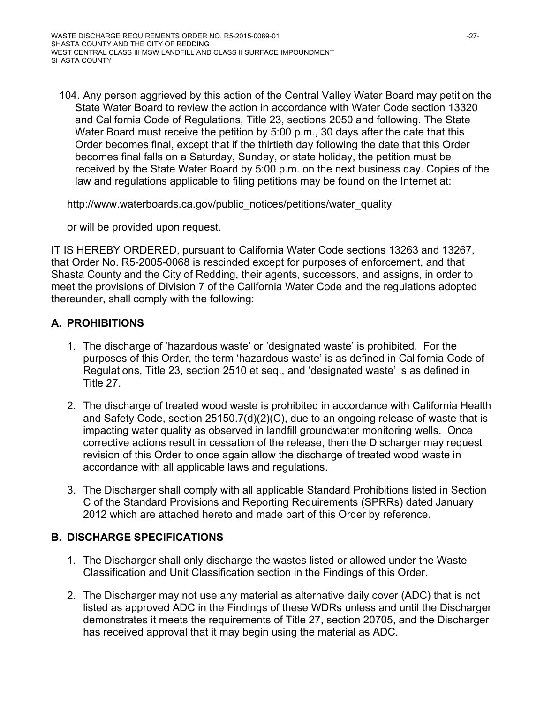104. Any person aggrieved by this action of the Central Valley Water Board may petition the State Water Board to review the action in accordance with Water Code section 13320 and California Code of Regulations, Title 23, sections 2050 and following. The State Water Board must receive the petition by 5:00 p.m., 30 days after the date that this Order becomes final, except that if the thirtieth day following the date that this Order becomes final falls on a Saturday, Sunday, or state holiday, the petition must be received by the State Water Board by 5:00 p.m. on the next business day. Copies of the law and regulations applicable to filing petitions may be found on the Internet at:

http://www.waterboards.ca.gov/public\_notices/petitions/water\_quality

or will be provided upon request.

IT IS HEREBY ORDERED, pursuant to California Water Code sections 13263 and 13267, that Order No. R5-2005-0068 is rescinded except for purposes of enforcement, and that Shasta County and the City of Redding, their agents, successors, and assigns, in order to meet the provisions of Division 7 of the California Water Code and the regulations adopted thereunder, shall comply with the following:

### **A. PROHIBITIONS**

- 1. The discharge of 'hazardous waste' or 'designated waste' is prohibited. For the purposes of this Order, the term 'hazardous waste' is as defined in California Code of Regulations, Title 23, section 2510 et seq., and 'designated waste' is as defined in Title 27.
- 2. The discharge of treated wood waste is prohibited in accordance with California Health and Safety Code, section 25150.7(d)(2)(C), due to an ongoing release of waste that is impacting water quality as observed in landfill groundwater monitoring wells. Once corrective actions result in cessation of the release, then the Discharger may request revision of this Order to once again allow the discharge of treated wood waste in accordance with all applicable laws and regulations.
- 3. The Discharger shall comply with all applicable Standard Prohibitions listed in Section C of the Standard Provisions and Reporting Requirements (SPRRs) dated January 2012 which are attached hereto and made part of this Order by reference.

### **B. DISCHARGE SPECIFICATIONS**

- 1. The Discharger shall only discharge the wastes listed or allowed under the Waste Classification and Unit Classification section in the Findings of this Order.
- 2. The Discharger may not use any material as alternative daily cover (ADC) that is not listed as approved ADC in the Findings of these WDRs unless and until the Discharger demonstrates it meets the requirements of Title 27, section 20705, and the Discharger has received approval that it may begin using the material as ADC.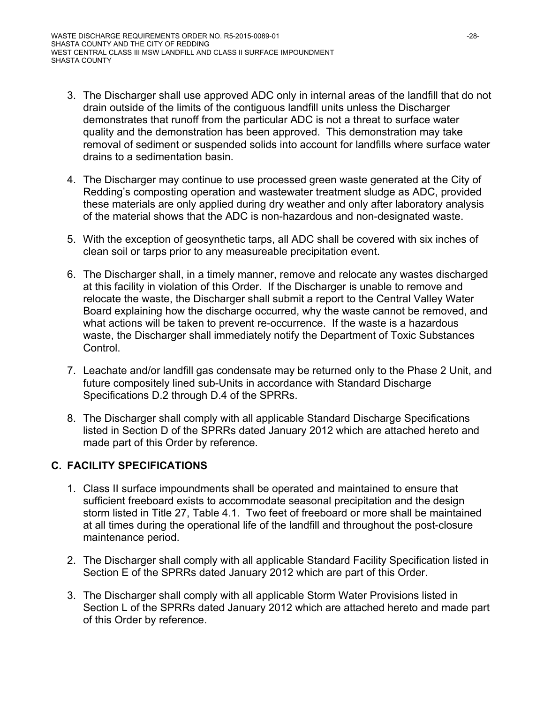- 3. The Discharger shall use approved ADC only in internal areas of the landfill that do not drain outside of the limits of the contiguous landfill units unless the Discharger demonstrates that runoff from the particular ADC is not a threat to surface water quality and the demonstration has been approved. This demonstration may take removal of sediment or suspended solids into account for landfills where surface water drains to a sedimentation basin.
- 4. The Discharger may continue to use processed green waste generated at the City of Redding's composting operation and wastewater treatment sludge as ADC, provided these materials are only applied during dry weather and only after laboratory analysis of the material shows that the ADC is non-hazardous and non-designated waste.
- 5. With the exception of geosynthetic tarps, all ADC shall be covered with six inches of clean soil or tarps prior to any measureable precipitation event.
- 6. The Discharger shall, in a timely manner, remove and relocate any wastes discharged at this facility in violation of this Order. If the Discharger is unable to remove and relocate the waste, the Discharger shall submit a report to the Central Valley Water Board explaining how the discharge occurred, why the waste cannot be removed, and what actions will be taken to prevent re-occurrence. If the waste is a hazardous waste, the Discharger shall immediately notify the Department of Toxic Substances Control.
- 7. Leachate and/or landfill gas condensate may be returned only to the Phase 2 Unit, and future compositely lined sub-Units in accordance with Standard Discharge Specifications D.2 through D.4 of the SPRRs.
- 8. The Discharger shall comply with all applicable Standard Discharge Specifications listed in Section D of the SPRRs dated January 2012 which are attached hereto and made part of this Order by reference.

### **C. FACILITY SPECIFICATIONS**

- 1. Class II surface impoundments shall be operated and maintained to ensure that sufficient freeboard exists to accommodate seasonal precipitation and the design storm listed in Title 27, Table 4.1. Two feet of freeboard or more shall be maintained at all times during the operational life of the landfill and throughout the post-closure maintenance period.
- 2. The Discharger shall comply with all applicable Standard Facility Specification listed in Section E of the SPRRs dated January 2012 which are part of this Order.
- 3. The Discharger shall comply with all applicable Storm Water Provisions listed in Section L of the SPRRs dated January 2012 which are attached hereto and made part of this Order by reference.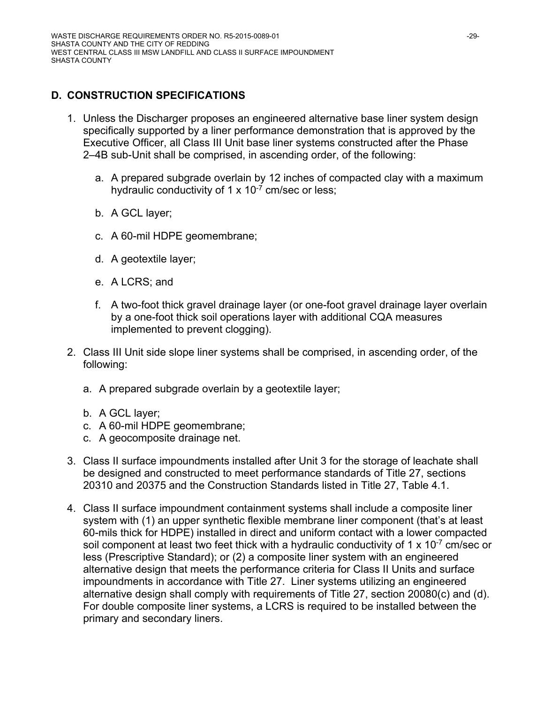# **D. CONSTRUCTION SPECIFICATIONS**

- 1. Unless the Discharger proposes an engineered alternative base liner system design specifically supported by a liner performance demonstration that is approved by the Executive Officer, all Class III Unit base liner systems constructed after the Phase 2–4B sub-Unit shall be comprised, in ascending order, of the following:
	- a. A prepared subgrade overlain by 12 inches of compacted clay with a maximum hydraulic conductivity of 1  $\times$  10<sup>-7</sup> cm/sec or less;
	- b. A GCL layer;
	- c. A 60-mil HDPE geomembrane;
	- d. A geotextile layer;
	- e. A LCRS; and
	- f. A two-foot thick gravel drainage layer (or one-foot gravel drainage layer overlain by a one-foot thick soil operations layer with additional CQA measures implemented to prevent clogging).
- 2. Class III Unit side slope liner systems shall be comprised, in ascending order, of the following:
	- a. A prepared subgrade overlain by a geotextile layer;
	- b. A GCL layer;
	- c. A 60-mil HDPE geomembrane;
	- c. A geocomposite drainage net.
- 3. Class II surface impoundments installed after Unit 3 for the storage of leachate shall be designed and constructed to meet performance standards of Title 27, sections 20310 and 20375 and the Construction Standards listed in Title 27, Table 4.1.
- 4. Class II surface impoundment containment systems shall include a composite liner system with (1) an upper synthetic flexible membrane liner component (that's at least 60-mils thick for HDPE) installed in direct and uniform contact with a lower compacted soil component at least two feet thick with a hydraulic conductivity of 1 x 10<sup>-7</sup> cm/sec or less (Prescriptive Standard); or (2) a composite liner system with an engineered alternative design that meets the performance criteria for Class II Units and surface impoundments in accordance with Title 27. Liner systems utilizing an engineered alternative design shall comply with requirements of Title 27, section 20080(c) and (d). For double composite liner systems, a LCRS is required to be installed between the primary and secondary liners.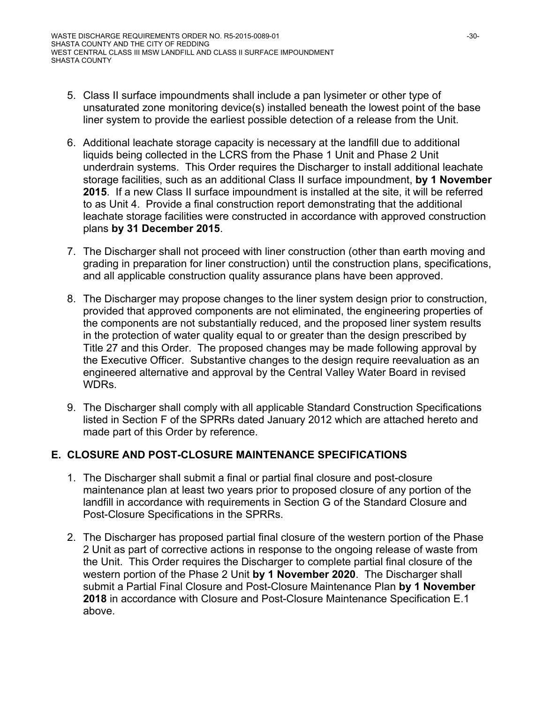- 5. Class II surface impoundments shall include a pan lysimeter or other type of unsaturated zone monitoring device(s) installed beneath the lowest point of the base liner system to provide the earliest possible detection of a release from the Unit.
- 6. Additional leachate storage capacity is necessary at the landfill due to additional liquids being collected in the LCRS from the Phase 1 Unit and Phase 2 Unit underdrain systems. This Order requires the Discharger to install additional leachate storage facilities, such as an additional Class II surface impoundment, **by 1 November 2015**. If a new Class II surface impoundment is installed at the site, it will be referred to as Unit 4. Provide a final construction report demonstrating that the additional leachate storage facilities were constructed in accordance with approved construction plans **by 31 December 2015**.
- 7. The Discharger shall not proceed with liner construction (other than earth moving and grading in preparation for liner construction) until the construction plans, specifications, and all applicable construction quality assurance plans have been approved.
- 8. The Discharger may propose changes to the liner system design prior to construction, provided that approved components are not eliminated, the engineering properties of the components are not substantially reduced, and the proposed liner system results in the protection of water quality equal to or greater than the design prescribed by Title 27 and this Order. The proposed changes may be made following approval by the Executive Officer. Substantive changes to the design require reevaluation as an engineered alternative and approval by the Central Valley Water Board in revised **WDRs**
- 9. The Discharger shall comply with all applicable Standard Construction Specifications listed in Section F of the SPRRs dated January 2012 which are attached hereto and made part of this Order by reference.

### **E. CLOSURE AND POST-CLOSURE MAINTENANCE SPECIFICATIONS**

- 1. The Discharger shall submit a final or partial final closure and post-closure maintenance plan at least two years prior to proposed closure of any portion of the landfill in accordance with requirements in Section G of the Standard Closure and Post-Closure Specifications in the SPRRs.
- 2. The Discharger has proposed partial final closure of the western portion of the Phase 2 Unit as part of corrective actions in response to the ongoing release of waste from the Unit. This Order requires the Discharger to complete partial final closure of the western portion of the Phase 2 Unit **by 1 November 2020**. The Discharger shall submit a Partial Final Closure and Post-Closure Maintenance Plan **by 1 November 2018** in accordance with Closure and Post-Closure Maintenance Specification E.1 above.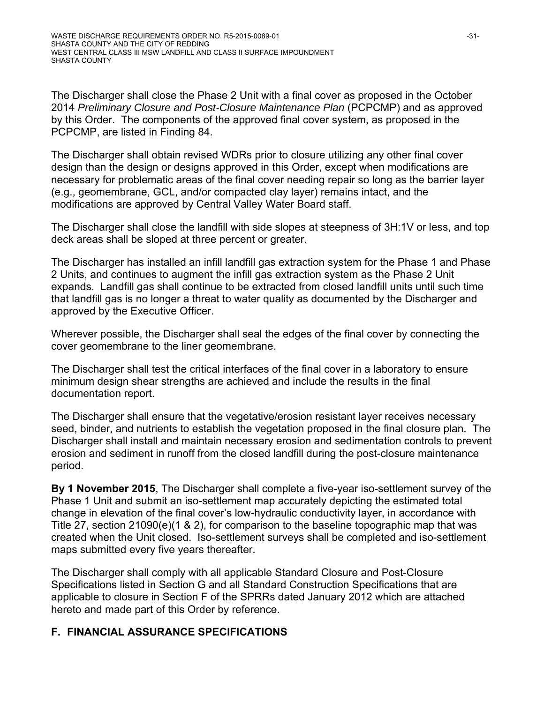The Discharger shall close the Phase 2 Unit with a final cover as proposed in the October 2014 *Preliminary Closure and Post-Closure Maintenance Plan* (PCPCMP) and as approved by this Order. The components of the approved final cover system, as proposed in the PCPCMP, are listed in Finding 84.

The Discharger shall obtain revised WDRs prior to closure utilizing any other final cover design than the design or designs approved in this Order, except when modifications are necessary for problematic areas of the final cover needing repair so long as the barrier layer (e.g., geomembrane, GCL, and/or compacted clay layer) remains intact, and the modifications are approved by Central Valley Water Board staff.

The Discharger shall close the landfill with side slopes at steepness of 3H:1V or less, and top deck areas shall be sloped at three percent or greater.

The Discharger has installed an infill landfill gas extraction system for the Phase 1 and Phase 2 Units, and continues to augment the infill gas extraction system as the Phase 2 Unit expands. Landfill gas shall continue to be extracted from closed landfill units until such time that landfill gas is no longer a threat to water quality as documented by the Discharger and approved by the Executive Officer.

Wherever possible, the Discharger shall seal the edges of the final cover by connecting the cover geomembrane to the liner geomembrane.

The Discharger shall test the critical interfaces of the final cover in a laboratory to ensure minimum design shear strengths are achieved and include the results in the final documentation report.

The Discharger shall ensure that the vegetative/erosion resistant layer receives necessary seed, binder, and nutrients to establish the vegetation proposed in the final closure plan. The Discharger shall install and maintain necessary erosion and sedimentation controls to prevent erosion and sediment in runoff from the closed landfill during the post-closure maintenance period.

**By 1 November 2015**, The Discharger shall complete a five-year iso-settlement survey of the Phase 1 Unit and submit an iso-settlement map accurately depicting the estimated total change in elevation of the final cover's low-hydraulic conductivity layer, in accordance with Title 27, section 21090(e)(1 & 2), for comparison to the baseline topographic map that was created when the Unit closed. Iso-settlement surveys shall be completed and iso-settlement maps submitted every five years thereafter.

The Discharger shall comply with all applicable Standard Closure and Post-Closure Specifications listed in Section G and all Standard Construction Specifications that are applicable to closure in Section F of the SPRRs dated January 2012 which are attached hereto and made part of this Order by reference.

### **F. FINANCIAL ASSURANCE SPECIFICATIONS**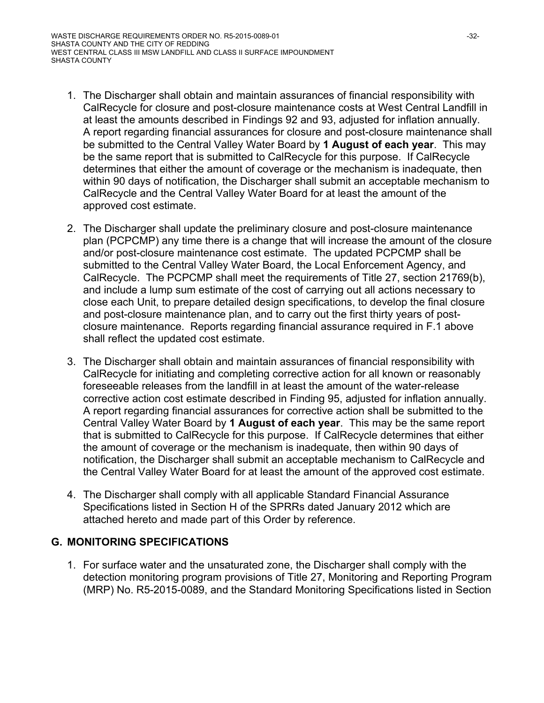- 1. The Discharger shall obtain and maintain assurances of financial responsibility with CalRecycle for closure and post-closure maintenance costs at West Central Landfill in at least the amounts described in Findings 92 and 93, adjusted for inflation annually. A report regarding financial assurances for closure and post-closure maintenance shall be submitted to the Central Valley Water Board by **1 August of each year**. This may be the same report that is submitted to CalRecycle for this purpose. If CalRecycle determines that either the amount of coverage or the mechanism is inadequate, then within 90 days of notification, the Discharger shall submit an acceptable mechanism to CalRecycle and the Central Valley Water Board for at least the amount of the approved cost estimate.
- 2. The Discharger shall update the preliminary closure and post-closure maintenance plan (PCPCMP) any time there is a change that will increase the amount of the closure and/or post-closure maintenance cost estimate. The updated PCPCMP shall be submitted to the Central Valley Water Board, the Local Enforcement Agency, and CalRecycle. The PCPCMP shall meet the requirements of Title 27, section 21769(b), and include a lump sum estimate of the cost of carrying out all actions necessary to close each Unit, to prepare detailed design specifications, to develop the final closure and post-closure maintenance plan, and to carry out the first thirty years of postclosure maintenance. Reports regarding financial assurance required in F.1 above shall reflect the updated cost estimate.
- 3. The Discharger shall obtain and maintain assurances of financial responsibility with CalRecycle for initiating and completing corrective action for all known or reasonably foreseeable releases from the landfill in at least the amount of the water-release corrective action cost estimate described in Finding 95, adjusted for inflation annually. A report regarding financial assurances for corrective action shall be submitted to the Central Valley Water Board by **1 August of each year**. This may be the same report that is submitted to CalRecycle for this purpose. If CalRecycle determines that either the amount of coverage or the mechanism is inadequate, then within 90 days of notification, the Discharger shall submit an acceptable mechanism to CalRecycle and the Central Valley Water Board for at least the amount of the approved cost estimate.
- 4. The Discharger shall comply with all applicable Standard Financial Assurance Specifications listed in Section H of the SPRRs dated January 2012 which are attached hereto and made part of this Order by reference.

#### **G. MONITORING SPECIFICATIONS**

1. For surface water and the unsaturated zone, the Discharger shall comply with the detection monitoring program provisions of Title 27, Monitoring and Reporting Program (MRP) No. R5-2015-0089, and the Standard Monitoring Specifications listed in Section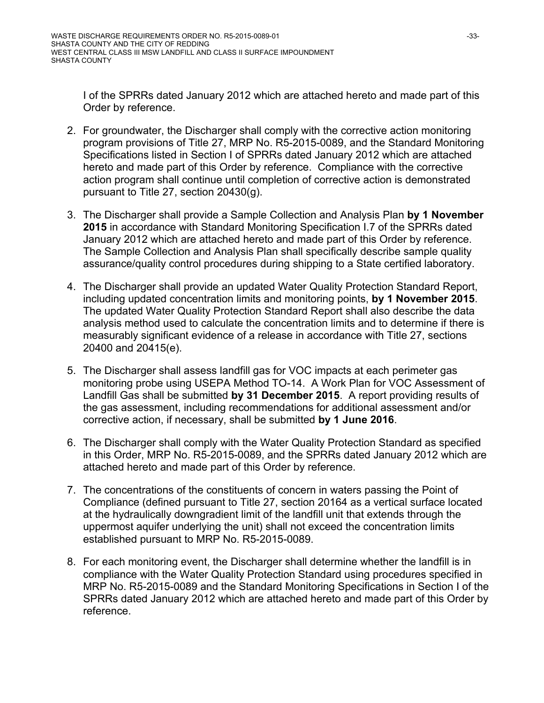I of the SPRRs dated January 2012 which are attached hereto and made part of this Order by reference.

- 2. For groundwater, the Discharger shall comply with the corrective action monitoring program provisions of Title 27, MRP No. R5-2015-0089, and the Standard Monitoring Specifications listed in Section I of SPRRs dated January 2012 which are attached hereto and made part of this Order by reference. Compliance with the corrective action program shall continue until completion of corrective action is demonstrated pursuant to Title 27, section 20430(g).
- 3. The Discharger shall provide a Sample Collection and Analysis Plan **by 1 November 2015** in accordance with Standard Monitoring Specification I.7 of the SPRRs dated January 2012 which are attached hereto and made part of this Order by reference. The Sample Collection and Analysis Plan shall specifically describe sample quality assurance/quality control procedures during shipping to a State certified laboratory.
- 4. The Discharger shall provide an updated Water Quality Protection Standard Report, including updated concentration limits and monitoring points, **by 1 November 2015**. The updated Water Quality Protection Standard Report shall also describe the data analysis method used to calculate the concentration limits and to determine if there is measurably significant evidence of a release in accordance with Title 27, sections 20400 and 20415(e).
- 5. The Discharger shall assess landfill gas for VOC impacts at each perimeter gas monitoring probe using USEPA Method TO-14. A Work Plan for VOC Assessment of Landfill Gas shall be submitted **by 31 December 2015**. A report providing results of the gas assessment, including recommendations for additional assessment and/or corrective action, if necessary, shall be submitted **by 1 June 2016**.
- 6. The Discharger shall comply with the Water Quality Protection Standard as specified in this Order, MRP No. R5-2015-0089, and the SPRRs dated January 2012 which are attached hereto and made part of this Order by reference.
- 7. The concentrations of the constituents of concern in waters passing the Point of Compliance (defined pursuant to Title 27, section 20164 as a vertical surface located at the hydraulically downgradient limit of the landfill unit that extends through the uppermost aquifer underlying the unit) shall not exceed the concentration limits established pursuant to MRP No. R5-2015-0089.
- 8. For each monitoring event, the Discharger shall determine whether the landfill is in compliance with the Water Quality Protection Standard using procedures specified in MRP No. R5-2015-0089 and the Standard Monitoring Specifications in Section I of the SPRRs dated January 2012 which are attached hereto and made part of this Order by reference.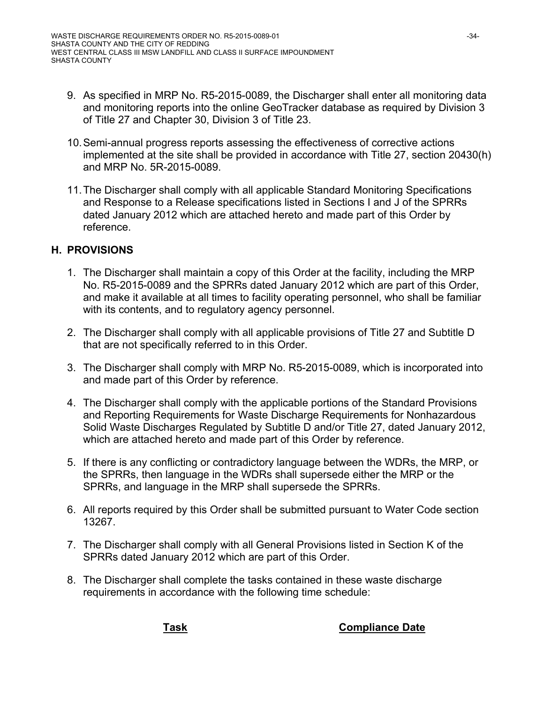- 9. As specified in MRP No. R5-2015-0089, the Discharger shall enter all monitoring data and monitoring reports into the online GeoTracker database as required by Division 3 of Title 27 and Chapter 30, Division 3 of Title 23.
- 10. Semi-annual progress reports assessing the effectiveness of corrective actions implemented at the site shall be provided in accordance with Title 27, section 20430(h) and MRP No. 5R-2015-0089.
- 11. The Discharger shall comply with all applicable Standard Monitoring Specifications and Response to a Release specifications listed in Sections I and J of the SPRRs dated January 2012 which are attached hereto and made part of this Order by reference.

#### **H. PROVISIONS**

- 1. The Discharger shall maintain a copy of this Order at the facility, including the MRP No. R5-2015-0089 and the SPRRs dated January 2012 which are part of this Order, and make it available at all times to facility operating personnel, who shall be familiar with its contents, and to regulatory agency personnel.
- 2. The Discharger shall comply with all applicable provisions of Title 27 and Subtitle D that are not specifically referred to in this Order.
- 3. The Discharger shall comply with MRP No. R5-2015-0089, which is incorporated into and made part of this Order by reference.
- 4. The Discharger shall comply with the applicable portions of the Standard Provisions and Reporting Requirements for Waste Discharge Requirements for Nonhazardous Solid Waste Discharges Regulated by Subtitle D and/or Title 27, dated January 2012, which are attached hereto and made part of this Order by reference.
- 5. If there is any conflicting or contradictory language between the WDRs, the MRP, or the SPRRs, then language in the WDRs shall supersede either the MRP or the SPRRs, and language in the MRP shall supersede the SPRRs.
- 6. All reports required by this Order shall be submitted pursuant to Water Code section 13267.
- 7. The Discharger shall comply with all General Provisions listed in Section K of the SPRRs dated January 2012 which are part of this Order.
- 8. The Discharger shall complete the tasks contained in these waste discharge requirements in accordance with the following time schedule:

**Task Compliance Date**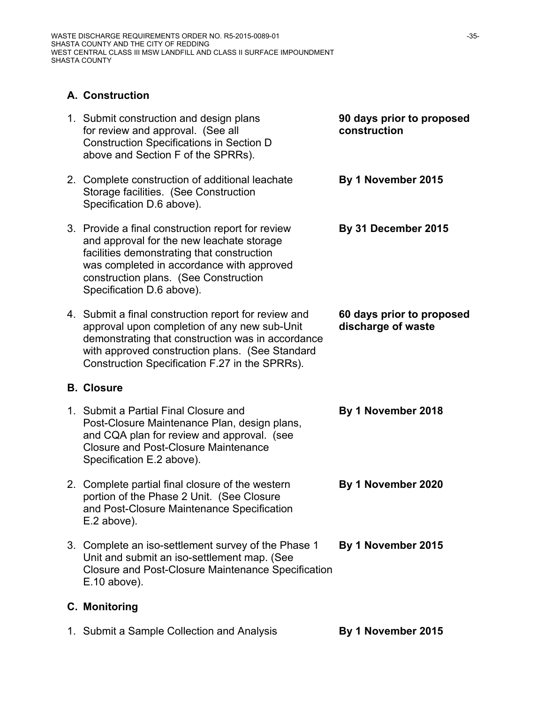### **A. Construction**

| 1. Submit construction and design plans<br>for review and approval. (See all<br><b>Construction Specifications in Section D</b><br>above and Section F of the SPRRs).                                                                                           | 90 days prior to proposed<br>construction       |
|-----------------------------------------------------------------------------------------------------------------------------------------------------------------------------------------------------------------------------------------------------------------|-------------------------------------------------|
| 2. Complete construction of additional leachate<br>Storage facilities. (See Construction<br>Specification D.6 above).                                                                                                                                           | By 1 November 2015                              |
| 3. Provide a final construction report for review<br>and approval for the new leachate storage<br>facilities demonstrating that construction<br>was completed in accordance with approved<br>construction plans. (See Construction<br>Specification D.6 above). | By 31 December 2015                             |
| 4. Submit a final construction report for review and<br>approval upon completion of any new sub-Unit<br>demonstrating that construction was in accordance<br>with approved construction plans. (See Standard<br>Construction Specification F.27 in the SPRRs).  | 60 days prior to proposed<br>discharge of waste |
| <b>B. Closure</b>                                                                                                                                                                                                                                               |                                                 |
| 1. Submit a Partial Final Closure and<br>Post-Closure Maintenance Plan, design plans,<br>and CQA plan for review and approval. (see<br><b>Closure and Post-Closure Maintenance</b><br>Specification E.2 above).                                                 | By 1 November 2018                              |
| 2. Complete partial final closure of the western<br>portion of the Phase 2 Unit. (See Closure<br>and Post-Closure Maintenance Specification<br>E.2 above).                                                                                                      | By 1 November 2020                              |
| 3. Complete an iso-settlement survey of the Phase 1<br>Unit and submit an iso-settlement map. (See<br><b>Closure and Post-Closure Maintenance Specification</b><br>$E.10$ above).                                                                               | By 1 November 2015                              |
| <b>C. Monitoring</b>                                                                                                                                                                                                                                            |                                                 |

1. Submit a Sample Collection and Analysis **By 1 November 2015**